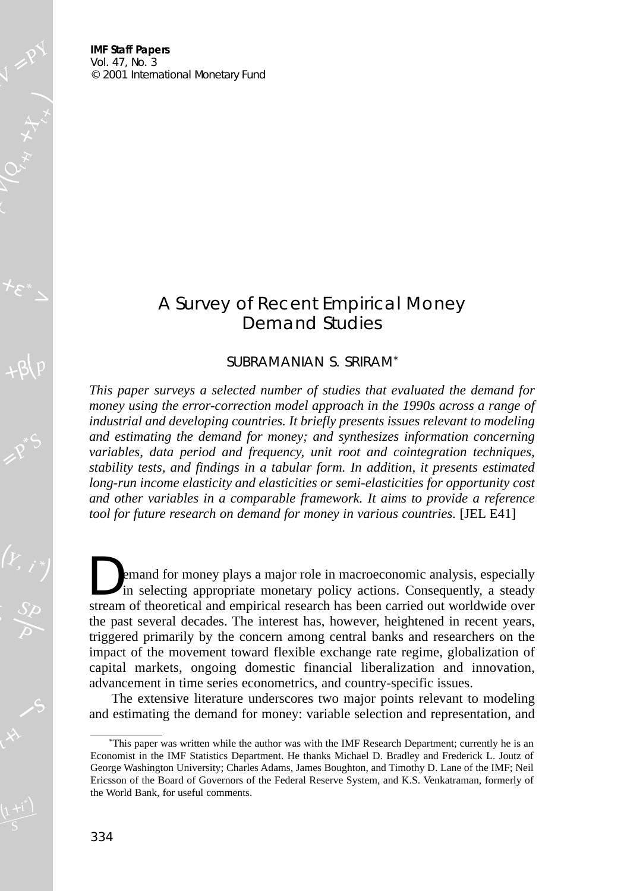**IMF Staff Papers** Vol. 47, No. 3  $© 2001 International Monetary Fund$ 

 $\left( Q_{x,y} \star_{\mathcal{X}} \right)$ 

 $p + \beta(p)$ 

# A Survey of Recent Empirical Money Demand Studies

## SUBRAMANIAN S. SRIRAM\*

*This paper surveys a selected number of studies that evaluated the demand for money using the error-correction model approach in the 1990s across a range of industrial and developing countries. It briefly presents issues relevant to modeling and estimating the demand for money; and synthesizes information concerning variables, data period and frequency, unit root and cointegration techniques, stability tests, and findings in a tabular form. In addition, it presents estimated long-run income elasticity and elasticities or semi-elasticities for opportunity cost and other variables in a comparable framework. It aims to provide a reference tool for future research on demand for money in various countries.* [JEL E41]

emand for money plays a major role in macroeconomic analysis, especially in selecting appropriate monetary policy actions. Consequently, a steady stream of theoretical and empirical research has been carried out worldwide over the past several decades. The interest has, however, heightened in recent years, triggered primarily by the concern among central banks and researchers on the impact of the movement toward flexible exchange rate regime, globalization of capital markets, ongoing domestic financial liberalization and innovation, advancement in time series econometrics, and country-specific issues.

The extensive literature underscores two major points relevant to modeling and estimating the demand for money: variable selection and representation, and

<sup>\*</sup>This paper was written while the author was with the IMF Research Department; currently he is an Economist in the IMF Statistics Department. He thanks Michael D. Bradley and Frederick L. Joutz of George Washington University; Charles Adams, James Boughton, and Timothy D. Lane of the IMF; Neil Ericsson of the Board of Governors of the Federal Reserve System, and K.S. Venkatraman, formerly of the World Bank, for useful comments.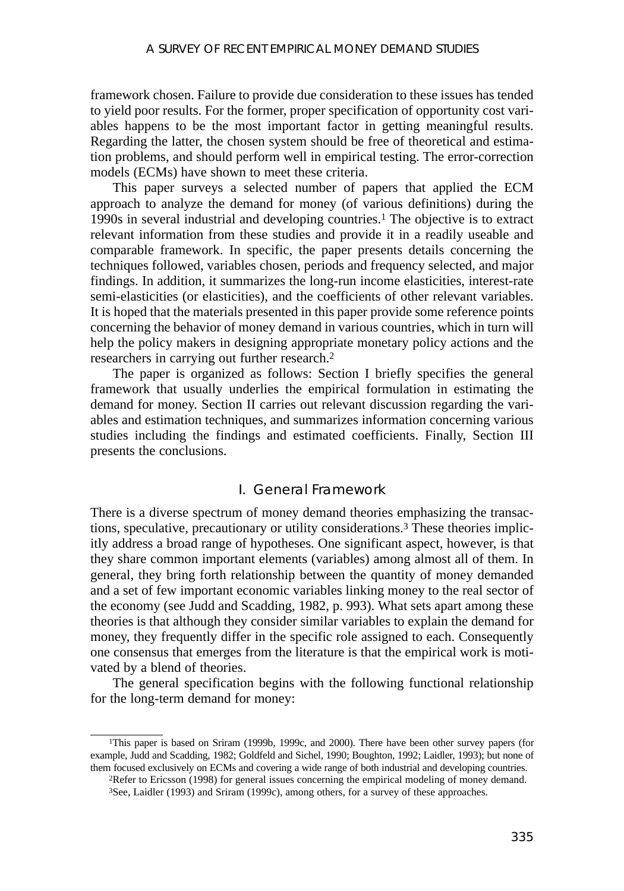framework chosen. Failure to provide due consideration to these issues has tended to yield poor results. For the former, proper specification of opportunity cost variables happens to be the most important factor in getting meaningful results. Regarding the latter, the chosen system should be free of theoretical and estimation problems, and should perform well in empirical testing. The error-correction models (ECMs) have shown to meet these criteria.

This paper surveys a selected number of papers that applied the ECM approach to analyze the demand for money (of various definitions) during the 1990s in several industrial and developing countries.1 The objective is to extract relevant information from these studies and provide it in a readily useable and comparable framework. In specific, the paper presents details concerning the techniques followed, variables chosen, periods and frequency selected, and major findings. In addition, it summarizes the long-run income elasticities, interest-rate semi-elasticities (or elasticities), and the coefficients of other relevant variables. It is hoped that the materials presented in this paper provide some reference points concerning the behavior of money demand in various countries, which in turn will help the policy makers in designing appropriate monetary policy actions and the researchers in carrying out further research.2

The paper is organized as follows: Section I briefly specifies the general framework that usually underlies the empirical formulation in estimating the demand for money. Section II carries out relevant discussion regarding the variables and estimation techniques, and summarizes information concerning various studies including the findings and estimated coefficients. Finally, Section III presents the conclusions.

# I. General Framework

There is a diverse spectrum of money demand theories emphasizing the transactions, speculative, precautionary or utility considerations.3 These theories implicitly address a broad range of hypotheses. One significant aspect, however, is that they share common important elements (variables) among almost all of them. In general, they bring forth relationship between the quantity of money demanded and a set of few important economic variables linking money to the real sector of the economy (see Judd and Scadding, 1982, p. 993). What sets apart among these theories is that although they consider similar variables to explain the demand for money, they frequently differ in the specific role assigned to each. Consequently one consensus that emerges from the literature is that the empirical work is motivated by a blend of theories.

The general specification begins with the following functional relationship for the long-term demand for money:

<sup>1</sup>This paper is based on Sriram (1999b, 1999c, and 2000). There have been other survey papers (for example, Judd and Scadding, 1982; Goldfeld and Sichel, 1990; Boughton, 1992; Laidler, 1993); but none of them focused exclusively on ECMs and covering a wide range of both industrial and developing countries. 2Refer to Ericsson (1998) for general issues concerning the empirical modeling of money demand.

<sup>3</sup>See, Laidler (1993) and Sriram (1999c), among others, for a survey of these approaches.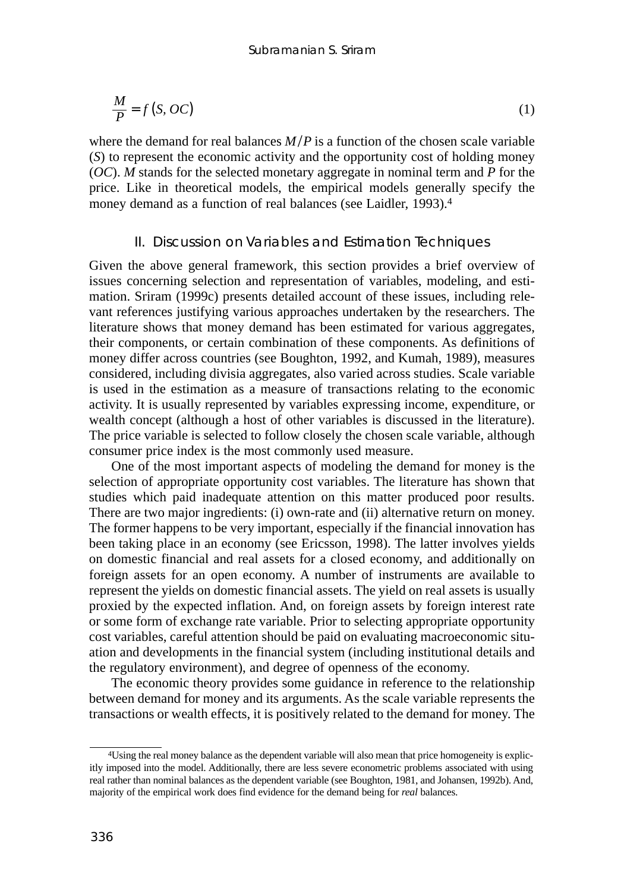$$
\frac{M}{P} = f(S, OC) \tag{1}
$$

where the demand for real balances  $M/P$  is a function of the chosen scale variable (*S*) to represent the economic activity and the opportunity cost of holding money (*OC*). *M* stands for the selected monetary aggregate in nominal term and *P* for the price. Like in theoretical models, the empirical models generally specify the money demand as a function of real balances (see Laidler, 1993).4

#### II. Discussion on Variables and Estimation Techniques

Given the above general framework, this section provides a brief overview of issues concerning selection and representation of variables, modeling, and estimation. Sriram (1999c) presents detailed account of these issues, including relevant references justifying various approaches undertaken by the researchers. The literature shows that money demand has been estimated for various aggregates, their components, or certain combination of these components. As definitions of money differ across countries (see Boughton, 1992, and Kumah, 1989), measures considered, including divisia aggregates, also varied across studies. Scale variable is used in the estimation as a measure of transactions relating to the economic activity. It is usually represented by variables expressing income, expenditure, or wealth concept (although a host of other variables is discussed in the literature). The price variable is selected to follow closely the chosen scale variable, although consumer price index is the most commonly used measure.

One of the most important aspects of modeling the demand for money is the selection of appropriate opportunity cost variables. The literature has shown that studies which paid inadequate attention on this matter produced poor results. There are two major ingredients: (i) own-rate and (ii) alternative return on money. The former happens to be very important, especially if the financial innovation has been taking place in an economy (see Ericsson, 1998). The latter involves yields on domestic financial and real assets for a closed economy, and additionally on foreign assets for an open economy. A number of instruments are available to represent the yields on domestic financial assets. The yield on real assets is usually proxied by the expected inflation. And, on foreign assets by foreign interest rate or some form of exchange rate variable. Prior to selecting appropriate opportunity cost variables, careful attention should be paid on evaluating macroeconomic situation and developments in the financial system (including institutional details and the regulatory environment), and degree of openness of the economy.

The economic theory provides some guidance in reference to the relationship between demand for money and its arguments. As the scale variable represents the transactions or wealth effects, it is positively related to the demand for money. The

<sup>4</sup>Using the real money balance as the dependent variable will also mean that price homogeneity is explicitly imposed into the model. Additionally, there are less severe econometric problems associated with using real rather than nominal balances as the dependent variable (see Boughton, 1981, and Johansen, 1992b). And, majority of the empirical work does find evidence for the demand being for *real* balances.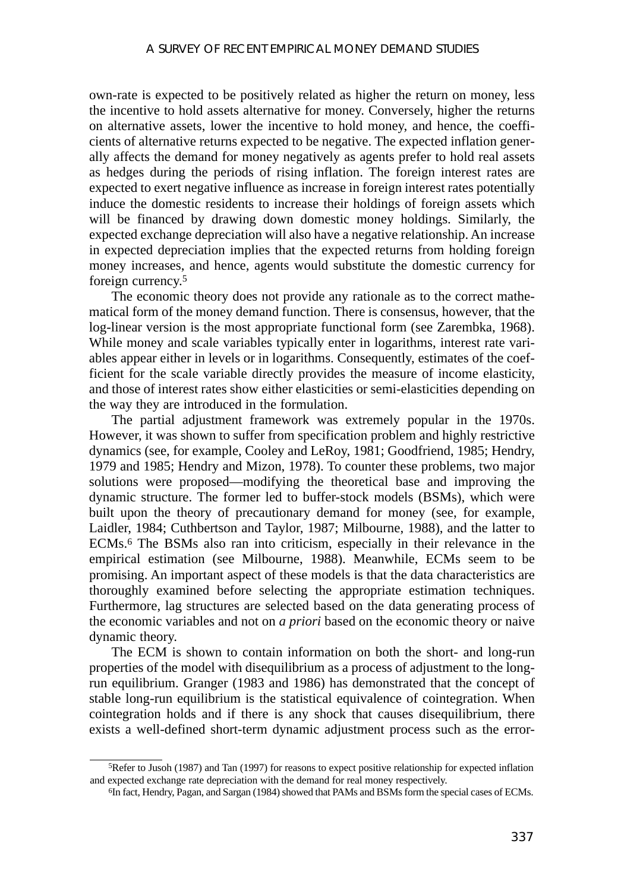own-rate is expected to be positively related as higher the return on money, less the incentive to hold assets alternative for money. Conversely, higher the returns on alternative assets, lower the incentive to hold money, and hence, the coefficients of alternative returns expected to be negative. The expected inflation generally affects the demand for money negatively as agents prefer to hold real assets as hedges during the periods of rising inflation. The foreign interest rates are expected to exert negative influence as increase in foreign interest rates potentially induce the domestic residents to increase their holdings of foreign assets which will be financed by drawing down domestic money holdings. Similarly, the expected exchange depreciation will also have a negative relationship. An increase in expected depreciation implies that the expected returns from holding foreign money increases, and hence, agents would substitute the domestic currency for foreign currency.5

The economic theory does not provide any rationale as to the correct mathematical form of the money demand function. There is consensus, however, that the log-linear version is the most appropriate functional form (see Zarembka, 1968). While money and scale variables typically enter in logarithms, interest rate variables appear either in levels or in logarithms. Consequently, estimates of the coefficient for the scale variable directly provides the measure of income elasticity, and those of interest rates show either elasticities or semi-elasticities depending on the way they are introduced in the formulation.

The partial adjustment framework was extremely popular in the 1970s. However, it was shown to suffer from specification problem and highly restrictive dynamics (see, for example, Cooley and LeRoy, 1981; Goodfriend, 1985; Hendry, 1979 and 1985; Hendry and Mizon, 1978). To counter these problems, two major solutions were proposed—modifying the theoretical base and improving the dynamic structure. The former led to buffer-stock models (BSMs), which were built upon the theory of precautionary demand for money (see, for example, Laidler, 1984; Cuthbertson and Taylor, 1987; Milbourne, 1988), and the latter to ECMs.6 The BSMs also ran into criticism, especially in their relevance in the empirical estimation (see Milbourne, 1988). Meanwhile, ECMs seem to be promising. An important aspect of these models is that the data characteristics are thoroughly examined before selecting the appropriate estimation techniques. Furthermore, lag structures are selected based on the data generating process of the economic variables and not on *a priori* based on the economic theory or naive dynamic theory.

The ECM is shown to contain information on both the short- and long-run properties of the model with disequilibrium as a process of adjustment to the longrun equilibrium. Granger (1983 and 1986) has demonstrated that the concept of stable long-run equilibrium is the statistical equivalence of cointegration. When cointegration holds and if there is any shock that causes disequilibrium, there exists a well-defined short-term dynamic adjustment process such as the error-

<sup>5</sup>Refer to Jusoh (1987) and Tan (1997) for reasons to expect positive relationship for expected inflation and expected exchange rate depreciation with the demand for real money respectively.

<sup>6</sup>In fact, Hendry, Pagan, and Sargan (1984) showed that PAMs and BSMs form the special cases of ECMs.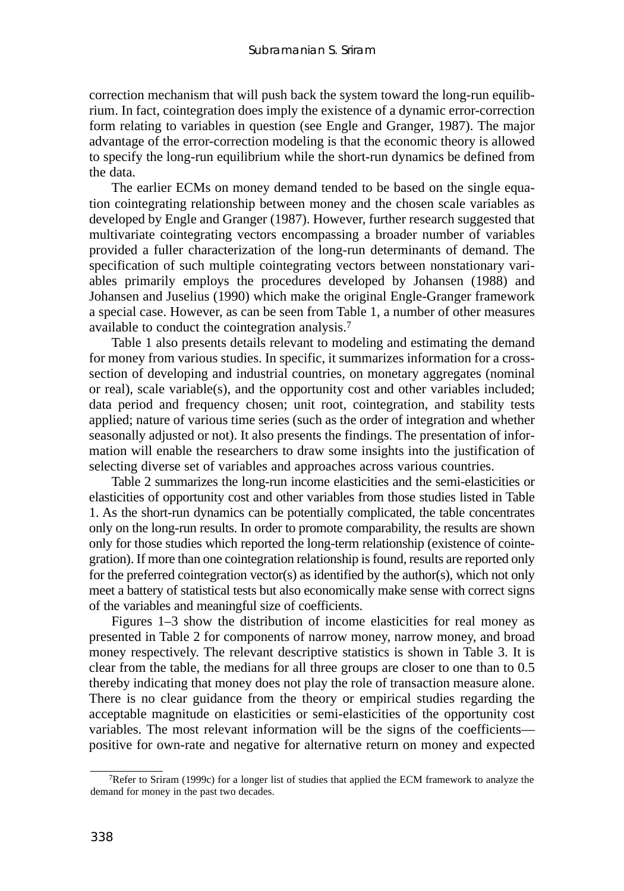correction mechanism that will push back the system toward the long-run equilibrium. In fact, cointegration does imply the existence of a dynamic error-correction form relating to variables in question (see Engle and Granger, 1987). The major advantage of the error-correction modeling is that the economic theory is allowed to specify the long-run equilibrium while the short-run dynamics be defined from the data.

The earlier ECMs on money demand tended to be based on the single equation cointegrating relationship between money and the chosen scale variables as developed by Engle and Granger (1987). However, further research suggested that multivariate cointegrating vectors encompassing a broader number of variables provided a fuller characterization of the long-run determinants of demand. The specification of such multiple cointegrating vectors between nonstationary variables primarily employs the procedures developed by Johansen (1988) and Johansen and Juselius (1990) which make the original Engle-Granger framework a special case. However, as can be seen from Table 1, a number of other measures available to conduct the cointegration analysis.7

Table 1 also presents details relevant to modeling and estimating the demand for money from various studies. In specific, it summarizes information for a crosssection of developing and industrial countries, on monetary aggregates (nominal or real), scale variable(s), and the opportunity cost and other variables included; data period and frequency chosen; unit root, cointegration, and stability tests applied; nature of various time series (such as the order of integration and whether seasonally adjusted or not). It also presents the findings. The presentation of information will enable the researchers to draw some insights into the justification of selecting diverse set of variables and approaches across various countries.

Table 2 summarizes the long-run income elasticities and the semi-elasticities or elasticities of opportunity cost and other variables from those studies listed in Table 1. As the short-run dynamics can be potentially complicated, the table concentrates only on the long-run results. In order to promote comparability, the results are shown only for those studies which reported the long-term relationship (existence of cointegration). If more than one cointegration relationship is found, results are reported only for the preferred cointegration vector(s) as identified by the author(s), which not only meet a battery of statistical tests but also economically make sense with correct signs of the variables and meaningful size of coefficients.

Figures 1–3 show the distribution of income elasticities for real money as presented in Table 2 for components of narrow money, narrow money, and broad money respectively. The relevant descriptive statistics is shown in Table 3. It is clear from the table, the medians for all three groups are closer to one than to 0.5 thereby indicating that money does not play the role of transaction measure alone. There is no clear guidance from the theory or empirical studies regarding the acceptable magnitude on elasticities or semi-elasticities of the opportunity cost variables. The most relevant information will be the signs of the coefficients positive for own-rate and negative for alternative return on money and expected

<sup>7</sup>Refer to Sriram (1999c) for a longer list of studies that applied the ECM framework to analyze the demand for money in the past two decades.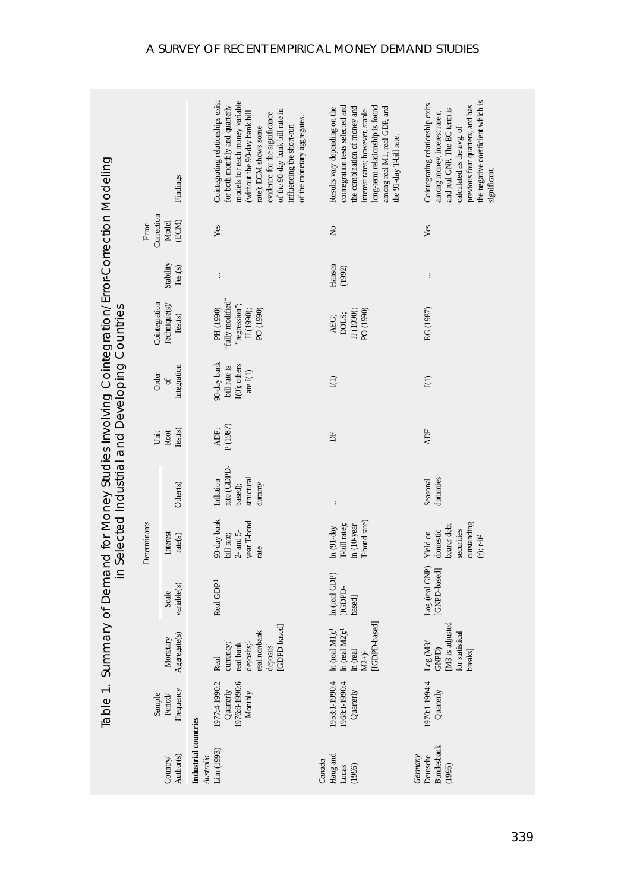|                                                                                                                                      | Findings                 |                          | Cointegrating relationships exist<br>models for each money variable<br>for both monthly and quarterly<br>of the 90-day bank bill rate in<br>(without the 90-day bank bill<br>evidence for the significance<br>of the monetary aggregates.<br>influencing the short-run<br>rate); ECM shows some | cointegration tests selected and<br>long-term relationship is found<br>Results vary depending on the<br>the combination of money and<br>among real M1, real GDP, and<br>interest rates; however, stable<br>he 91-day T-bill rate. | the negative coefficient which is<br>Cointegrating relationship exits<br>previous four quarters, and has<br>and real GNP. The EC term is<br>among money, interest rate r,<br>calculated as the avg. of<br>significant. |
|--------------------------------------------------------------------------------------------------------------------------------------|--------------------------|--------------------------|-------------------------------------------------------------------------------------------------------------------------------------------------------------------------------------------------------------------------------------------------------------------------------------------------|-----------------------------------------------------------------------------------------------------------------------------------------------------------------------------------------------------------------------------------|------------------------------------------------------------------------------------------------------------------------------------------------------------------------------------------------------------------------|
|                                                                                                                                      | Correction<br>Error-     | (ECM)<br>Model           | Yes                                                                                                                                                                                                                                                                                             | $\tilde{z}$                                                                                                                                                                                                                       | Yes                                                                                                                                                                                                                    |
| ary of Demand for Money Studies Involving Cointegration/Error-Correction Modeling<br>in Selected Industrial and Developing Countries |                          | Stability<br>Test(s)     | $\vdots$                                                                                                                                                                                                                                                                                        | Hansen<br>(1992)                                                                                                                                                                                                                  | $\vdots$                                                                                                                                                                                                               |
|                                                                                                                                      | Cointegration            | Technique(s)/<br>Test(s) | "fully modified"<br>"regression";<br>PH (1990)<br>IJ (1990);<br>PO (1990)                                                                                                                                                                                                                       | PO (1990)<br>IJ (1990);<br>DOLS;<br>AEG;                                                                                                                                                                                          | EG (1987)                                                                                                                                                                                                              |
|                                                                                                                                      | Order                    | Integration<br>đ         | 90-day bank<br>I(0); others<br>bill rate is<br>are $I(1)$                                                                                                                                                                                                                                       | $\Xi$                                                                                                                                                                                                                             | I(1)                                                                                                                                                                                                                   |
|                                                                                                                                      | Unit                     | Test(s)<br>Root          | P(1987)<br>ADF;                                                                                                                                                                                                                                                                                 | Ĕ                                                                                                                                                                                                                                 | <b>ADF</b>                                                                                                                                                                                                             |
|                                                                                                                                      |                          | Other(s)                 | rate (GDPD-<br>structural<br>Inflation<br>dummy<br>based);                                                                                                                                                                                                                                      | $\vdots$                                                                                                                                                                                                                          | dummies<br>Seasonal                                                                                                                                                                                                    |
|                                                                                                                                      | Determinants             | Interest<br>rate(s)      | 90-day bank<br>year T-bond<br>$2-$ and $5-$<br>bill rate;<br>rate                                                                                                                                                                                                                               | T-bond rate)<br>T-bill rate);<br>In (10-year<br>$ln(91-day)$                                                                                                                                                                      | outstanding<br>bearer debt<br>securities<br>domestic<br>Yield on<br>$(r)$ ; $r$ -it <sup>2</sup>                                                                                                                       |
|                                                                                                                                      |                          | variable(s)<br>Scale     | Real GDP <sup>1</sup>                                                                                                                                                                                                                                                                           | In (real GDP)<br>[IGDPD-<br>based                                                                                                                                                                                                 | Log (real GNP)<br>[GNPD-based]                                                                                                                                                                                         |
|                                                                                                                                      | Aggregate(s)<br>Monetary |                          | GDPD-based<br>real nonbank<br>currency; <sup>1</sup><br>real bank<br>deposits;<br>deposits <sup>1</sup><br>Real                                                                                                                                                                                 | -based<br>$\ln$ (real M1); <sup>1</sup><br>$\ln$ (real M2); <sup>1</sup><br>IGDPD<br>In (real<br>$\mathbf{M2+}\mathbf{)}^{1}$                                                                                                     | M3 is adjusted<br>for statistical<br>Log(M3)<br>GNPD)<br>breaks]                                                                                                                                                       |
| Table 1. Summ                                                                                                                        | Sample                   | Frequency<br>Period/     | 1976:8-1990:6<br>1977:4-1990:2<br>Quarterly<br>Monthly                                                                                                                                                                                                                                          | 1953:1-1990:4<br>1968:1-1990:4<br>Quarterly                                                                                                                                                                                       | 1970:1-1994:4<br>Quarterly                                                                                                                                                                                             |
| Country/                                                                                                                             |                          | Author(s)                | Industrial countries<br>Lim (1993)<br>Australia                                                                                                                                                                                                                                                 | Haug and<br>Canada<br>(1996)<br>Lucas                                                                                                                                                                                             | <b>Bundesbank</b><br>Germany<br>Deutsche<br>(1995)                                                                                                                                                                     |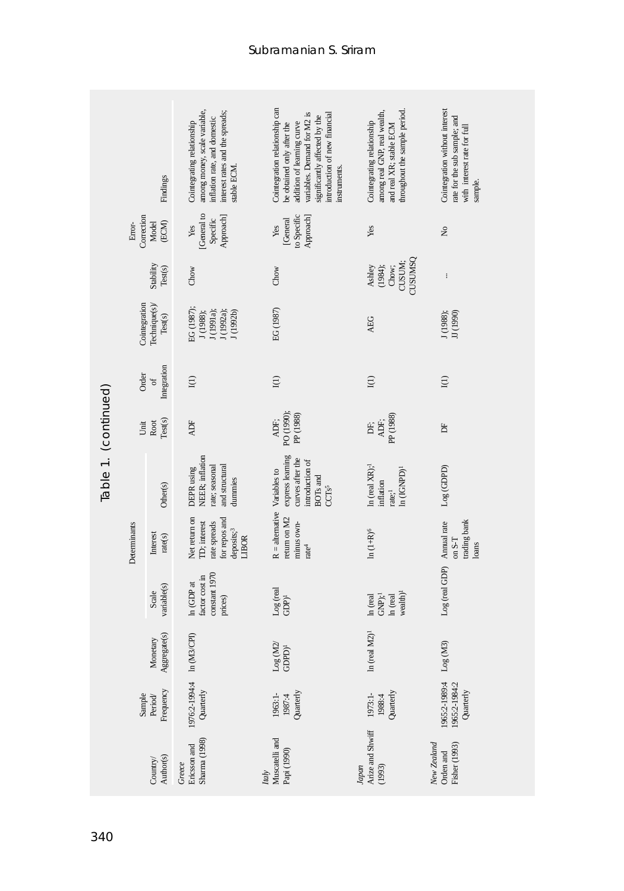|                                                            |                                                                                                          | Findings              | among money, scale variable,<br>interest rates and the spreads;<br>mflation rate, and domestic<br>Cointegrating relationship<br>stable ECM. | Cointegration relationship can<br>variables. Demand for M2 is<br>ntroduction of new financial<br>significantly affected by the<br>addition of learning curve<br>be obtained only after the<br>nstruments. | throughout the sample period.<br>among real GNP, real wealth,<br>Cointegrating relationship<br>and real XR; stable ECM | Cointegration without interest<br>rate for the sub sample; and<br>with interest rate for full<br>sample. |
|------------------------------------------------------------|----------------------------------------------------------------------------------------------------------|-----------------------|---------------------------------------------------------------------------------------------------------------------------------------------|-----------------------------------------------------------------------------------------------------------------------------------------------------------------------------------------------------------|------------------------------------------------------------------------------------------------------------------------|----------------------------------------------------------------------------------------------------------|
|                                                            | Correction<br>Error-                                                                                     | (ECM)<br>Model        | [General to<br>Specific<br>Approach]<br>Yes                                                                                                 | to Specific<br>Approach]<br>[General<br>Yes                                                                                                                                                               | Yes                                                                                                                    | $\mathsf{S}^{\mathsf{o}}$                                                                                |
|                                                            |                                                                                                          | Stability<br>Test(s)  | Chow                                                                                                                                        | Chow                                                                                                                                                                                                      | <b>CSMUSCL</b><br>CUSUM;<br>Chow;<br>Ashley<br>(1984);                                                                 | $\vdots$                                                                                                 |
|                                                            | Cointegration<br>Technique(s)/<br>Test(s)<br>Integration<br>Order<br>$\sigma$<br>Test(s)<br>Root<br>Unit |                       | EG (1987);<br>J (1988);<br>J (1991a);<br>J (1992a);<br>J(1992b)                                                                             | EG (1987)                                                                                                                                                                                                 | <b>AEG</b>                                                                                                             | J(1988);<br>JJ (1990)                                                                                    |
|                                                            |                                                                                                          |                       | I(1)                                                                                                                                        | $\Xi$                                                                                                                                                                                                     | $I(1)$                                                                                                                 | $I(1)$                                                                                                   |
|                                                            |                                                                                                          |                       | ADF                                                                                                                                         | PO (1990);<br>PP (1988)<br>ADF;                                                                                                                                                                           | PP (1988)<br>ADF:<br>БË,                                                                                               | 占                                                                                                        |
| Table 1. (continued)                                       |                                                                                                          | Other(s)              | NEER; inflation<br>rate; seasonal<br>and structural<br>DEPR using<br>dummies                                                                | express learning<br>curves after the<br>introduction of<br>BOTs and<br>CCTs5                                                                                                                              | In (real $XR$ ); <sup>1</sup><br>ln (IGNPD) <sup>1</sup><br>inflation<br>rate; <sup>1</sup>                            | Log(GDPD)                                                                                                |
|                                                            | Determinants                                                                                             | Interest<br>rate(s)   | Net return on<br>for repos and<br>ID; interest<br>rate spreads<br>deposits; <sup>3</sup><br>LIBOR                                           | $R =$ alternative Variables to<br>return on M2<br>minus own-<br>rate <sup>4</sup>                                                                                                                         | $\ln{(1+{\rm R})^6}$                                                                                                   | trading bank<br>Annual rate<br>on S-T<br>loans                                                           |
|                                                            |                                                                                                          | variable(s)<br>Scale  | constant 1970<br>factor cost in<br>In (GDP at<br>prices)                                                                                    | Log (real<br>$GDP$ <sup>1</sup>                                                                                                                                                                           | wealth) <sup>1</sup><br>$GNP$ ; <sup>1</sup><br>$\ln$ (real<br>In (real                                                | Log (real GDP)                                                                                           |
| Aggregate(s)<br>Monetary<br>Frequency<br>Sample<br>Period/ |                                                                                                          |                       | In (M3/CPI)                                                                                                                                 | Log(M2)<br>$GDPD)^1$                                                                                                                                                                                      | In (real $M2$ ) <sup>1</sup>                                                                                           | Log(M3)                                                                                                  |
|                                                            |                                                                                                          |                       | 1976:2-1994:4<br>Quarterly                                                                                                                  | Quarterly<br>1963:1-<br>1987:4                                                                                                                                                                            | Quarterly<br>1973:1-<br>1988:4                                                                                         | 1965:2-1989:4<br>1965:2-1984:2<br>Quarterly                                                              |
|                                                            |                                                                                                          | Author(s)<br>Country/ | Sharma (1998)<br>Ericsson and<br>Greece                                                                                                     | Muscatelli and<br>Papi (1990)<br><b>Italy</b>                                                                                                                                                             | Arize and Shwiff<br>Japan<br>(1993)                                                                                    | New Zealand<br>Fisher (1993)<br>Orden and                                                                |
| 340                                                        |                                                                                                          |                       |                                                                                                                                             |                                                                                                                                                                                                           |                                                                                                                        |                                                                                                          |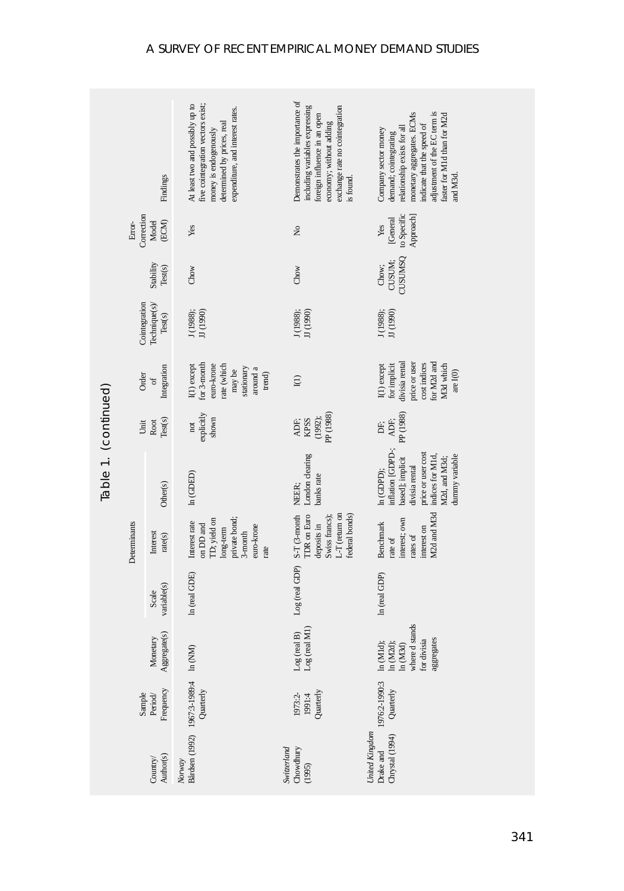|                          |                               | Findings                  | At least two and possibly up to<br>five cointegration vectors exist;<br>expenditure, and interest rates.<br>determined by prices, real<br>money is endogenously | Demonstrates the importance of<br>including variables expressing<br>exchange rate no cointegration<br>foreign influence in an open<br>economy; without adding<br>is found. | adjustment of the EC term is<br>monetary aggregates. ECMs<br>faster for M1d than for M2d<br>indicate that the speed of<br>relationship exists for all<br>Company sector money<br>demand; cointegrating<br>and M3d. |
|--------------------------|-------------------------------|---------------------------|-----------------------------------------------------------------------------------------------------------------------------------------------------------------|----------------------------------------------------------------------------------------------------------------------------------------------------------------------------|--------------------------------------------------------------------------------------------------------------------------------------------------------------------------------------------------------------------|
|                          | Correction<br>Error-          | (ECM)<br>Model            | Yes                                                                                                                                                             | ż                                                                                                                                                                          | to Specific<br>Approach<br>[General<br>Yes                                                                                                                                                                         |
|                          |                               | Stability<br>Test(s)      | Chow                                                                                                                                                            | Chow                                                                                                                                                                       | CUSUMSQ<br>CUSUM:<br>Chow;                                                                                                                                                                                         |
|                          | Cointegration                 | Technique(s)/<br>Test(s)  | J (1988);<br>JJ (1990)                                                                                                                                          | J (1988);<br>JJ (1990)                                                                                                                                                     | $\rm JJ$ (1990)<br>J(1988);                                                                                                                                                                                        |
|                          | Order                         | Integration<br>$\sigma$ f | for 3-month<br>rate (which<br>$I(1)$ except<br>euro-krone<br>stationary<br>around a<br>may be<br>trend)                                                         | I(1)                                                                                                                                                                       | divisia rental<br>for M2d and<br>cost indices<br>price or user<br>M3d which<br>for implicit<br>I(1) except<br>are $I(0)$                                                                                           |
|                          | Unit                          | Root<br>Test(s)           | explicitly<br>shown<br>$\operatorname{\sf not}$                                                                                                                 | PP(1988)<br>(1992);<br>ADF;<br><b>RPSS</b>                                                                                                                                 | PP <sub>(1988)</sub><br>ADF;<br>Ë                                                                                                                                                                                  |
| Table 1. (continued)     |                               | Other(s)                  | ln(GDED)                                                                                                                                                        | London clearing<br>banks rate<br>NEER:                                                                                                                                     | inflation [GDPD-;<br>price or user cost<br>indices for M1d,<br>dummy variable<br>based]; implicit<br>M2d, and M3d;<br>divisia rental<br>In (GDPD);                                                                 |
|                          | Determinants                  | Interest<br>rate(s)       | private bond;<br>ID; yield on<br>Interest rate<br>on DD and<br>euro-krone<br>long-term<br>3-month<br>rate                                                       | L-T (return on<br><b>TDR</b> on Euro<br>federal bonds)<br>S-T(3-month<br>Swiss francs);<br>deposits in                                                                     | M2d and M3d<br>interest; own<br>Benchmark<br>interest on<br>rates of<br>rate of                                                                                                                                    |
|                          |                               | variable(s)<br>Scale      | In (real GDE)                                                                                                                                                   | Log (real GDP)                                                                                                                                                             | In (real GDP)                                                                                                                                                                                                      |
| Aggregate(s)<br>Monetary |                               |                           | $\ln$ (NM)                                                                                                                                                      | $\tilde{M}$<br>$\widehat{B}$<br>Log (real<br>Log (real                                                                                                                     | where d stands<br>for divisia<br>aggregates<br>In (M1d);<br>$\ln$ (M2d);<br>$\ln{\rm (M3d)}$                                                                                                                       |
|                          | Frequency<br>Sample<br>Period |                           | Bårdsen (1992) 1967:3-1989:4<br>Quarterly                                                                                                                       | Quarterly<br>1973:2-<br>1991:4                                                                                                                                             | 1976:2-1990:3<br>Quarterly                                                                                                                                                                                         |
| Author(s)<br>Country/    |                               |                           | Norway                                                                                                                                                          | Switzerland<br>Chowdhury<br>(1995)                                                                                                                                         | United Kingdom<br>Chrystal (1994)<br>Drake and                                                                                                                                                                     |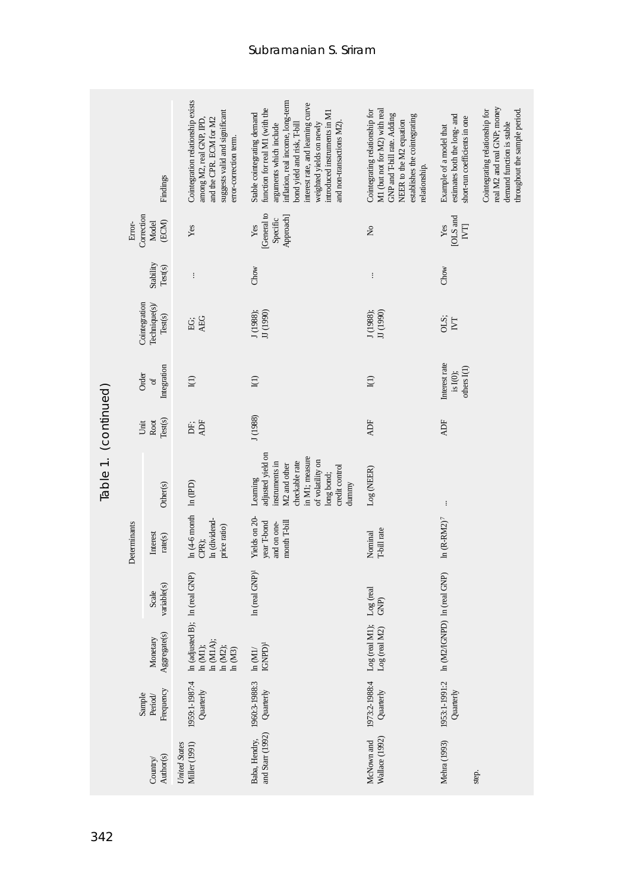|                                |                                  | Findings                                  | Cointegration relationship exists<br>suggests valid and significant<br>and the CPR. ECM for M2<br>among M2, real GNP, IPD,<br>error-correction term. | inflation, real income, long-term<br>interest rate, and learning curve<br>function for real MI (with the<br>introduced instruments in M1<br>Stable cointegrating demand<br>weighted yields on newly<br>and non-transactions M2)<br>arguments which include<br>bond yield and risk, T-bill | M1 (but not for M2) with real<br>Cointegrating relationship for<br>GNP and T-bill rate. Adding<br>establishes the cointegrating<br>NEER to the M2 equation<br>relationship. | real M2 and real GNP; money<br>Cointegrating relationship for<br>throughout the sample period.<br>estimates both the long- and<br>short-run coefficients in one<br>demand function is stable<br>Example of a model that |
|--------------------------------|----------------------------------|-------------------------------------------|------------------------------------------------------------------------------------------------------------------------------------------------------|-------------------------------------------------------------------------------------------------------------------------------------------------------------------------------------------------------------------------------------------------------------------------------------------|-----------------------------------------------------------------------------------------------------------------------------------------------------------------------------|-------------------------------------------------------------------------------------------------------------------------------------------------------------------------------------------------------------------------|
|                                | Correction<br>Error-             | Model<br>(ECM)                            | Yes                                                                                                                                                  | General to<br>Approach]<br>Specific<br>Yes                                                                                                                                                                                                                                                | $\tilde{z}$                                                                                                                                                                 | [OLS and<br>Yes<br>$\overline{\textrm{[N\!]}$                                                                                                                                                                           |
|                                |                                  | Stability<br>Test(s)                      | $\vdots$                                                                                                                                             | Chow                                                                                                                                                                                                                                                                                      | $\vdots$                                                                                                                                                                    | Chow                                                                                                                                                                                                                    |
|                                |                                  | Cointegration<br>Technique(s)/<br>Test(s) | AEG<br>EG;                                                                                                                                           | J (1988);<br>JJ (1990)                                                                                                                                                                                                                                                                    | J (1988);<br>JJ (1990)                                                                                                                                                      | OLS;<br>$\overline{\rm N}$                                                                                                                                                                                              |
| Table 1. (continued)           | Integration<br>Order<br>$\sigma$ |                                           | I(1)                                                                                                                                                 | ${\rm I}(1)$                                                                                                                                                                                                                                                                              | $\mathbf{I}(1)$                                                                                                                                                             | Interest rate<br>others I(1)<br>is I(0);                                                                                                                                                                                |
|                                | Test(s)<br>Root<br>Unit          |                                           | ADF<br>DF;                                                                                                                                           | J(1988)                                                                                                                                                                                                                                                                                   | ADF                                                                                                                                                                         | <b>ADF</b>                                                                                                                                                                                                              |
|                                |                                  | Other(s)                                  |                                                                                                                                                      | adjusted yield on<br>in M1; measure<br>of volatility on<br>checkable rate<br>nstruments in<br>VL2 and other<br>credit control<br>long bond;<br>Learning<br>dummy                                                                                                                          | Log (NEER)                                                                                                                                                                  | $\colon$                                                                                                                                                                                                                |
|                                | Determinants                     | Interest<br>rate(s)                       | $ln(4-6$ month $ln(IPD)$<br>In (dividend-<br>price ratio)<br>CPR);                                                                                   | Yields on 20-<br>year T-bond<br>month T-bill<br>and on one-                                                                                                                                                                                                                               | T-bill rate<br>Nominal                                                                                                                                                      | $ln (R-RM2)^7$                                                                                                                                                                                                          |
|                                |                                  | variable(s)<br>Scale                      | In (adjusted B); In (real GNP)                                                                                                                       | In (real GNP) <sup>1</sup>                                                                                                                                                                                                                                                                | Log (real<br>GNP)                                                                                                                                                           | In (M2/IGNPD) In (real GNP)                                                                                                                                                                                             |
|                                |                                  | Aggregate(s)<br>Monetary                  | $\begin{array}{l} \begin{array}{l} \text{in}\,(M1);\\ \text{in}\,(M1A);\\ \text{in}\,(M2);\\ \text{in}\,(M3);\\ \end{array} \end{array}$             | IGNPD <sup>1</sup><br>$\ln \left( \text{MI} \right/$                                                                                                                                                                                                                                      | Log (real M1);<br>$\log$ (real M2)                                                                                                                                          |                                                                                                                                                                                                                         |
| Frequency<br>Sample<br>Period/ |                                  |                                           | 1959:1-1987:4<br>Quarterly                                                                                                                           | 1960:3-1988:3<br>Quarterly                                                                                                                                                                                                                                                                | 1973:2-1988:4<br>Quarterly                                                                                                                                                  | 1953:1-1991:2<br>Quarterly                                                                                                                                                                                              |
|                                |                                  | Author(s)<br>Country/                     | Miller (1991)<br><b>United States</b>                                                                                                                | and Starr (1992)<br>Baba, Hendry,                                                                                                                                                                                                                                                         | Wallace (1992)<br>McNown and                                                                                                                                                | Mehra (1993)<br>step.                                                                                                                                                                                                   |
| 342                            |                                  |                                           |                                                                                                                                                      |                                                                                                                                                                                                                                                                                           |                                                                                                                                                                             |                                                                                                                                                                                                                         |

Subramanian S. Sriram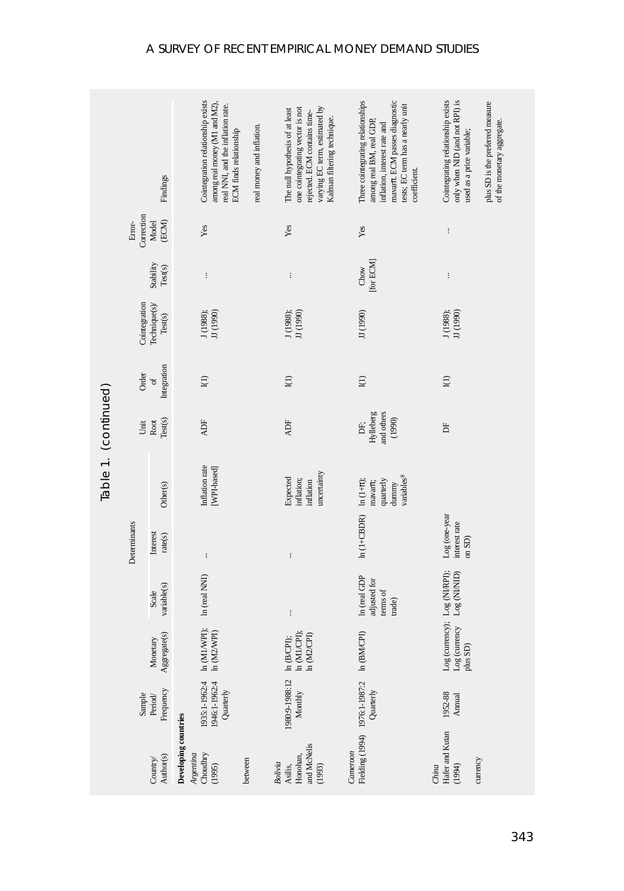|                      |                      | Findings                 | Cointegration relationship exists<br>among real money (M1 and M2),<br>real NNI, and the inflation rate.<br><b>ECM</b> finds relationship | real money and inflation. | varying EC term, estimated by<br>one cointegrating vector is not<br>The null hypothesis of at least<br>rejected. ECM contains time-<br>Kalman filtering technique. | mavarn. ECM passes diagnostic<br>Three cointegrating relationships<br>tests; EC term has a nearly unit<br>among real BM, real GDP,<br>inflation, interest rate and<br>coefficient. | Cointegrating relationship exists<br>only when NID (and not RPI) is<br>plus SD is the preferred measure<br>of the monetary aggregate.<br>used as a price variable; |
|----------------------|----------------------|--------------------------|------------------------------------------------------------------------------------------------------------------------------------------|---------------------------|--------------------------------------------------------------------------------------------------------------------------------------------------------------------|------------------------------------------------------------------------------------------------------------------------------------------------------------------------------------|--------------------------------------------------------------------------------------------------------------------------------------------------------------------|
|                      | Correction<br>Error- | (ECM)<br>Model           | Yes                                                                                                                                      |                           | Yes                                                                                                                                                                | Yes                                                                                                                                                                                | $\vdots$                                                                                                                                                           |
|                      |                      | Stability<br>Test(s)     | $\vdots$                                                                                                                                 |                           | $\vdots$                                                                                                                                                           | [for ECM]<br>Chow                                                                                                                                                                  | $\vdots$                                                                                                                                                           |
|                      | Cointegration        | Technique(s)/<br>Test(s) | JJ (1990)<br>J (1988);                                                                                                                   |                           | JJ (1990)<br>J(1988);                                                                                                                                              | JJ (1990)                                                                                                                                                                          | JJ (1990)<br>J (1988);                                                                                                                                             |
|                      | Order                | Integration<br>$\sigma$  | ${\rm I}(1)$                                                                                                                             |                           | ${\rm I}(1)$                                                                                                                                                       | $\bar{\mathbf{I}}(1)$                                                                                                                                                              | ${\rm I}(1)$                                                                                                                                                       |
|                      | Unit                 | Root<br>Test(s)          | ADF                                                                                                                                      |                           | <b>ADF</b>                                                                                                                                                         | and others<br>Hylleberg<br>(1990)<br>È.                                                                                                                                            | E                                                                                                                                                                  |
| Table 1. (continued) |                      | Other(s)                 | Inflation rate<br>[WPI-based]                                                                                                            |                           | uncertainty<br>Expected<br>inflation;<br>inflation                                                                                                                 | variables <sup>8</sup><br>quarterly<br>mavarr;<br>dunnny                                                                                                                           |                                                                                                                                                                    |
|                      | Determinants         | Interest<br>rate(s)      | $\vdots$                                                                                                                                 |                           | $\vdots$                                                                                                                                                           | $ln(1+CBDR)$ $ln(1+\pi);$                                                                                                                                                          | Log (one-year<br>interest rate<br>on SD)                                                                                                                           |
|                      |                      | variable(s)<br>Scale     | In (real NNI)                                                                                                                            |                           | $\vdots$                                                                                                                                                           | In (real GDP<br>adjusted for<br>terms of<br>trade)                                                                                                                                 | Log (currency); Log (NI/RPI);<br>$Log (NIMID)$                                                                                                                     |
|                      |                      | Aggregate(s)<br>Monetary | ln (M1/WPI);<br>$\ln \left( \text{M2WPI} \right)$                                                                                        |                           | $\ln$ (M1/CPI);<br>In (M2/CPI)<br>$\ln$ (B/CPI);                                                                                                                   | In (BM/CPI)                                                                                                                                                                        | Log (currency<br>$plus$ SD)                                                                                                                                        |
|                      | Sample               | Frequency<br>Period/     | 1935:1-1962:4<br>1946:1-1962:4<br>Quarterly                                                                                              |                           | 1980:9-1988:12<br>Monthly                                                                                                                                          | Fielding (1994) 1976:1-1987:2<br>Quarterly                                                                                                                                         | 1952-88<br>Annual                                                                                                                                                  |
|                      |                      | Author(s)<br>Country/    | Developing countries<br>Choudhry<br>Argentina<br>(1995)                                                                                  | between                   | and McNelis<br>Honohan,<br>Bolivia<br>Asilis,<br>(1993)                                                                                                            | Cameroon                                                                                                                                                                           | Hafer and Kutan<br>currency<br>(1994)<br>China                                                                                                                     |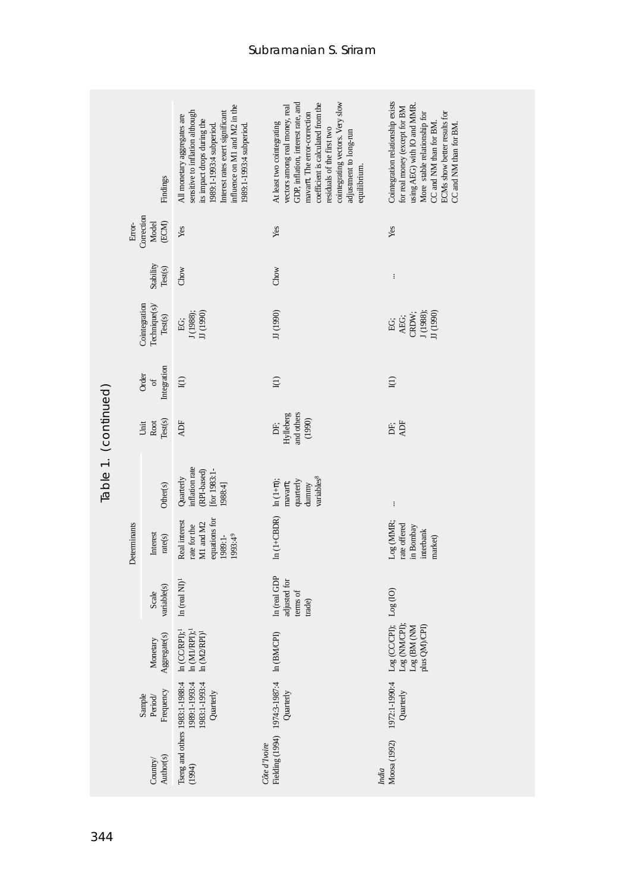|                                |                                                                                                            | Findings                   | influence on M1 and M2 in the<br>Interest rates exert significant<br>sensitive to inflation although<br>All monetary aggregates are<br>its impact drops during the<br>1989:1-1993:4 subperiod.<br>1989:1-1993:4 subperiod. | GDP, inflation, interest rate, and<br>cointegrating vectors. Very slow<br>coefficient is calculated from the<br>vectors among real money, real<br>mavart. The error-correction<br>At least two cointegrating<br>residuals of the first two<br>adjustment to long-run<br>equilibrium. | Cointegration relationship exists<br>using AEG) with IO and MMR<br>for real money (except for BM<br>ECMs show better results for<br>More stable relationship for<br>CC and NM than for BM.<br>CC and NM than for BM. |
|--------------------------------|------------------------------------------------------------------------------------------------------------|----------------------------|----------------------------------------------------------------------------------------------------------------------------------------------------------------------------------------------------------------------------|--------------------------------------------------------------------------------------------------------------------------------------------------------------------------------------------------------------------------------------------------------------------------------------|----------------------------------------------------------------------------------------------------------------------------------------------------------------------------------------------------------------------|
|                                | Error-                                                                                                     | Correction<br>ECM<br>Model | Yes                                                                                                                                                                                                                        | Yes                                                                                                                                                                                                                                                                                  | Yes                                                                                                                                                                                                                  |
|                                |                                                                                                            | Stability<br>Test(s)       | Chow                                                                                                                                                                                                                       | Chow                                                                                                                                                                                                                                                                                 | $\vdots$                                                                                                                                                                                                             |
|                                | Cointegration<br>Technique(s)/<br>Test(s)<br>Integration<br>Order<br>$\sigma$ f<br>Test(s)<br>Root<br>Unit |                            | JJ (1990)<br>J(1988);<br>EG;                                                                                                                                                                                               | JJ (1990)                                                                                                                                                                                                                                                                            | J (1988);<br>JJ (1990)<br>CRDW;<br>AEG;<br>EG;                                                                                                                                                                       |
|                                |                                                                                                            |                            | I(1)                                                                                                                                                                                                                       | I(1)                                                                                                                                                                                                                                                                                 | I(1)                                                                                                                                                                                                                 |
|                                |                                                                                                            |                            | <b>ADF</b>                                                                                                                                                                                                                 | and others<br>Hylleberg<br>(1990)<br>Ė,                                                                                                                                                                                                                                              | ADF<br>Ė.                                                                                                                                                                                                            |
| Table 1. (continued)           |                                                                                                            | Other(s)                   | nflation rate<br>for 1983:1-<br>(RPI-based)<br>Quarterly<br>1988:4]                                                                                                                                                        | variables <sup>8</sup><br>In $(1+\pi)$ ;<br>quarterly<br>$maxar\pi$<br>dunnny                                                                                                                                                                                                        | $\vdots$                                                                                                                                                                                                             |
|                                | Determinants                                                                                               | Interest<br>rate(s)        | equations for<br>Real interest<br>M1 and M2<br>rate for the<br>1993:49<br>1989:1-                                                                                                                                          | $ln(1+CBDR)$                                                                                                                                                                                                                                                                         | Log (MMR;<br>rate offered<br>in Bombay<br>interbank<br>market)                                                                                                                                                       |
|                                |                                                                                                            | variable(s)<br>Scale       | In $(\text{real} \text{ N}I)^I$                                                                                                                                                                                            | In (real GDP<br>adjusted for<br>terms of<br>trade)                                                                                                                                                                                                                                   |                                                                                                                                                                                                                      |
|                                |                                                                                                            | Aggregate(s)<br>Monetary   | $\ln$ (CC/RPI); $^1$<br>$\ln \, (M1/RPI)^4$<br>ln(M2RPI) <sup>1</sup>                                                                                                                                                      | In (BM/CPI)                                                                                                                                                                                                                                                                          | Log (CC/CPI); Log (IO)<br>Log (NM/CPI);<br>Log (BM (NM<br>plus QM)CPI)                                                                                                                                               |
| Frequency<br>Sample<br>Period/ |                                                                                                            |                            | 1983:1-1993:4<br>1989:1-1993:4<br>Quarterly                                                                                                                                                                                | Quarterly                                                                                                                                                                                                                                                                            | 1972:1-1990:4<br>Quarterly                                                                                                                                                                                           |
|                                |                                                                                                            | Author(s)<br>Country/      | Tseng and others 1983:1-1988:4<br>(1994)                                                                                                                                                                                   | Fielding (1994) 1974:3-1987:4<br>Côte d'Ivoire                                                                                                                                                                                                                                       | Moosa (1992)<br>India                                                                                                                                                                                                |
| 344                            |                                                                                                            |                            |                                                                                                                                                                                                                            |                                                                                                                                                                                                                                                                                      |                                                                                                                                                                                                                      |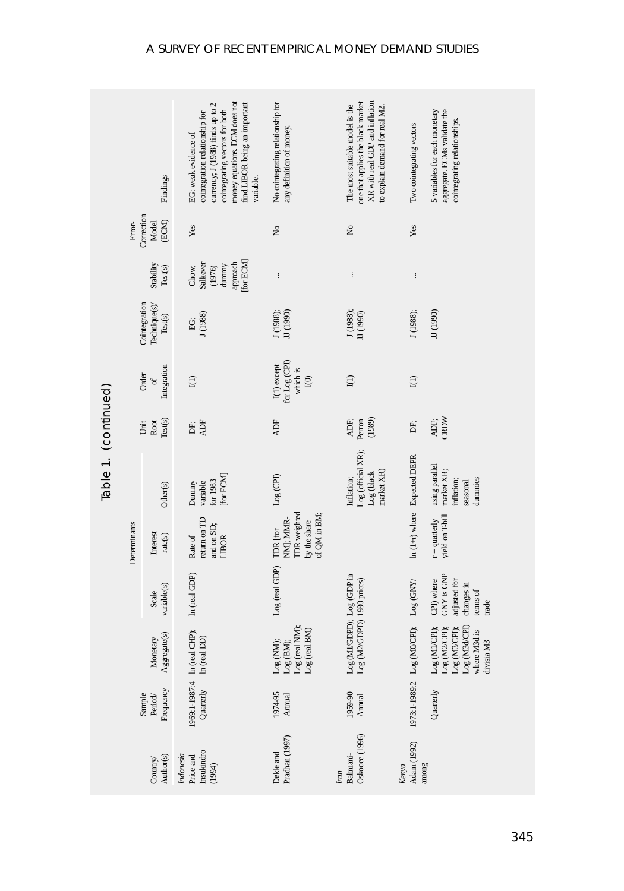|                       |                                        | Findings                                  | money equations. ECM does not<br>ind LIBOR being an important<br>currency; J (1988) finds up to 2<br>cointegrating vectors for both<br>cointegration relationship for<br>EG: weak evidence of<br>variable. | No cointegrating relationship for<br>any definition of money.         | XR with real GDP and inflation<br>one that applies the black market<br>The most suitable model is the<br>to explain demand for real M2. | Two cointegrating vectors     | 5 variables for each monetary<br>aggregate. ECMs validate the<br>cointegrating relationships.  |
|-----------------------|----------------------------------------|-------------------------------------------|------------------------------------------------------------------------------------------------------------------------------------------------------------------------------------------------------------|-----------------------------------------------------------------------|-----------------------------------------------------------------------------------------------------------------------------------------|-------------------------------|------------------------------------------------------------------------------------------------|
|                       | Correction<br>(ECM)<br>Error-<br>Model |                                           | Yes                                                                                                                                                                                                        | $\stackrel{\circ}{\mathbf{z}}$                                        | $\tilde{\mathbf{z}}$                                                                                                                    | Yes                           |                                                                                                |
|                       |                                        | Stability<br>Test(s)                      | for ECM<br>approach<br>Salkever<br>dunnny<br>Chow;<br>(1976)                                                                                                                                               | $\vdots$                                                              | $\vdots$                                                                                                                                | $\vdots$                      |                                                                                                |
|                       |                                        | Cointegration<br>Technique(s)/<br>Test(s) | J(1988)<br>Ė.                                                                                                                                                                                              | J (1988);<br>JJ (1990)                                                | J (1988);<br>JJ (1990)                                                                                                                  | J(1988);                      | JJ (1990)                                                                                      |
|                       | Integration<br>Order<br>$\sigma$       |                                           | I(1)                                                                                                                                                                                                       | for Log (CPI)<br>I(1) except<br>which is<br>$\bar{I}(0)$              | $\Xi$                                                                                                                                   | I(1)                          |                                                                                                |
|                       | Test(s)<br>Root<br>Unit                |                                           | ADF<br>DF;                                                                                                                                                                                                 | <b>ADF</b>                                                            | ADF;<br>(1989)<br>Perron                                                                                                                | Ė,                            | CRDW<br>ADF;                                                                                   |
| Table 1. (continued)  |                                        | Other(s)                                  | [for ECM]<br>for 1983<br>variable<br>Dummy                                                                                                                                                                 | $Log$ (CPI)                                                           | Log (official XR);<br>market XR)<br>Log (black<br>Inflation;                                                                            | In (1+r) where Expected DEPR  | using parallel<br>market XR;<br>inflation;<br>dummies<br>seasonal                              |
|                       | Determinants                           | Interest<br>rate(s)                       | eturn on TD<br>and on SD;<br>Rate of<br>LIBOR                                                                                                                                                              | TDR weighted<br>of QM in BM;<br>by the share<br>NM]; MMR-<br>TDR [for |                                                                                                                                         |                               | yield on T-bill<br>$r =$ quarterly                                                             |
|                       |                                        | variable(s)<br>Scale                      | In (real GDP)                                                                                                                                                                                              | Log (real GDP)                                                        |                                                                                                                                         | $\rm Log$ (GNY/               | <b>GNY is GNP</b><br>CPI) where<br>adjusted for<br>changes in<br>terms of<br>trade             |
| Monetary              |                                        | Aggregate(s)                              | 1969:1-1987:4 In (real CHP);<br>In (real DD)                                                                                                                                                               | Log (real NM);<br>Log (real BM)<br>Log (NM);<br>$Log$ (BM);           | $\begin{array}{l} \rm{Log}\,(M1/GDPD); \ \rm{Log}\,(GDP\ \rm{in}\ \rm{Log}\,(M2/GDPD) \ 1980\ \rm{prices)} \end{array}$                 | 1973:1-1989:2 Log (M0/CPI);   | Log (M3d/CPI)<br>Log (M1/CPI);<br>$Log(M3/CH);$<br>Log (M2/CPI);<br>where M3d is<br>divisia M3 |
|                       |                                        | Frequency<br>Sample<br>Period/            | Quarterly                                                                                                                                                                                                  | 1974-95<br>Annual                                                     | 1959-90<br>Annual                                                                                                                       |                               | Quarterly                                                                                      |
| Author(s)<br>Country/ |                                        |                                           | Insukindro<br>Indonesia<br>Price and<br>(1994)                                                                                                                                                             | Pradhan (1997)<br>Dekle and                                           | Oskooee (1996)<br>Bahmani-<br>Iran                                                                                                      | Adam (1992)<br>Kenya<br>among |                                                                                                |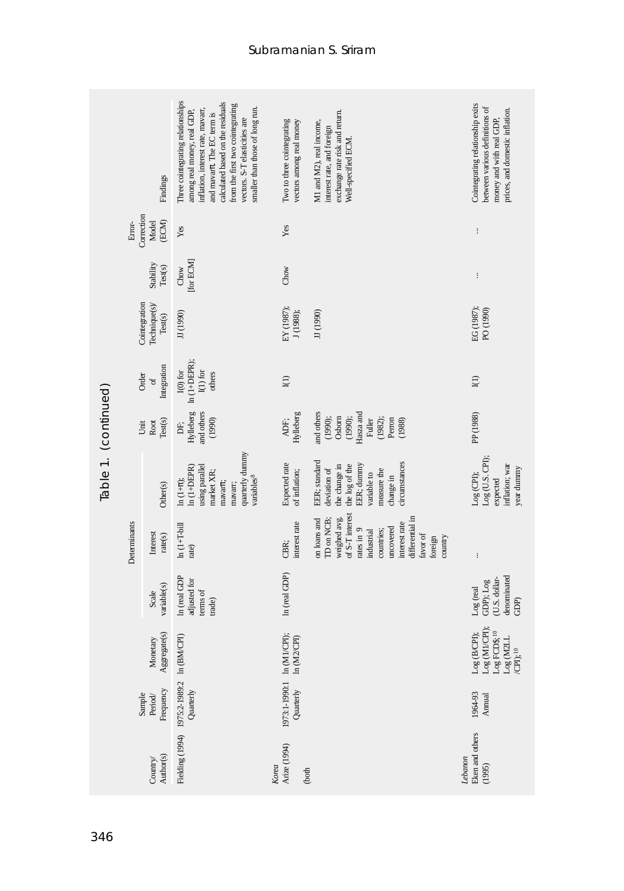|                                | Findings                                  |                          | Three cointegrating relationships<br>calculated based on the residuals<br>from the first two cointegrating<br>inflation, interest rate, mavarr,<br>smaller than those of long run.<br>among real money, real GDP,<br>and mavarr. The EC term is<br>vectors. S-T elasticities are | Two to three cointegrating<br>vectors among real money | exchange rate risk and return.<br>M1 and M2), real income,<br>interest rate, and foreign<br>Well-specified ECM.                                                                           | Cointegrating relationship exits<br>between various definitions of<br>prices, and domestic inflation.<br>money and with real GDP,                                                      |
|--------------------------------|-------------------------------------------|--------------------------|----------------------------------------------------------------------------------------------------------------------------------------------------------------------------------------------------------------------------------------------------------------------------------|--------------------------------------------------------|-------------------------------------------------------------------------------------------------------------------------------------------------------------------------------------------|----------------------------------------------------------------------------------------------------------------------------------------------------------------------------------------|
|                                | Correction<br>Error-                      | (ECM)<br>Model           | Yes                                                                                                                                                                                                                                                                              | Yes                                                    |                                                                                                                                                                                           | $\vdots$                                                                                                                                                                               |
|                                |                                           | Stability<br>Test(s)     | [for ECM]<br>Chow                                                                                                                                                                                                                                                                | Chow                                                   |                                                                                                                                                                                           | $\vdots$                                                                                                                                                                               |
|                                | Cointegration<br>Technique(s)/<br>Test(s) |                          | JJ (1990)                                                                                                                                                                                                                                                                        | EY (1987);<br>J (1988);                                | JJ (1990)                                                                                                                                                                                 | EG (1987);<br>PO (1990)                                                                                                                                                                |
|                                | Integration<br>Order<br>$\sigma$          |                          | $ln(1+DEPR);$<br>${\rm I(0)}$ for<br>$\mathbf{I}(1)$ for<br>others                                                                                                                                                                                                               | I(1)                                                   |                                                                                                                                                                                           | ${\rm I}(1)$                                                                                                                                                                           |
|                                | Test(s)<br>Root<br>Unit                   |                          | and others<br>Hylleberg<br>(1990)<br>DF;                                                                                                                                                                                                                                         | Hylleberg<br>ADF;                                      | and others<br>(1990);<br>Hasza and<br>Osbom<br>(1990);<br>Fuller<br>(1982);<br>Perron<br>(1988)                                                                                           | PP (1988)                                                                                                                                                                              |
| Table 1. (continued)           |                                           | Other(s)                 | quarterly dummy<br>using parallel<br>$ln(1+DEPR)$<br>market XR;<br>variables <sup>8</sup><br>$\ln(1+\pi);$<br>mavarre;<br>mavarr;                                                                                                                                                | Expected rate<br>of inflation;                         | EER; standard<br>circumstances<br>EER; dummy<br>the change in<br>the log of the<br>deviation of<br>measure the<br>variable to<br>change in                                                | Log (U.S. CPI);<br>inflation; war<br>year dummy<br>$Log$ (CPI);<br>expected                                                                                                            |
|                                | Determinants                              | Interest<br>rate(s)      | $ln(1+T-bill$<br>rate)                                                                                                                                                                                                                                                           | interest rate<br>CBR;                                  | of S-T interest<br>differential in<br>weighed avg.<br>on loans and<br>ID on NCB;<br>interest rate<br>uncovered<br>rates in 9<br>countries;<br>ndustrial<br>favor of<br>foreign<br>country | $\colon$                                                                                                                                                                               |
|                                |                                           | variable(s)<br>Scale     | In (real GDP<br>adjusted for<br>terms of<br>trade)                                                                                                                                                                                                                               | In (real GDP)                                          |                                                                                                                                                                                           | denominated<br>(U.S. dollar-<br>GDP); Log<br>Log (real<br>GDP)                                                                                                                         |
|                                |                                           | Aggregate(s)<br>Monetary |                                                                                                                                                                                                                                                                                  | In $(M1/CPI)$ ;<br>In (M2/CPI)                         |                                                                                                                                                                                           | $\begin{array}{l} \text{Log (B/CPl)};\\ \text{Log (MI/CPl)}; \end{array}$<br>$\rm Log$ FCD\$; $^{10}$<br>$\begin{array}{l} \text{Log } \text{(M21L}\\ \text{(CPI)}; ^{10} \end{array}$ |
| Frequency<br>Sample<br>Period/ |                                           |                          | Quarterly                                                                                                                                                                                                                                                                        | 1973:1-1990:1<br>Quarterly                             |                                                                                                                                                                                           | 1964-93<br>Annual                                                                                                                                                                      |
|                                |                                           | Author(s)<br>Country/    | Fielding (1994) 1975:2-1989:2 In (BM/CPI)                                                                                                                                                                                                                                        | Arize (1994)<br>Korea<br>(both                         |                                                                                                                                                                                           | Eken and others<br>Lebanon<br>(1995)                                                                                                                                                   |
| 346                            |                                           |                          |                                                                                                                                                                                                                                                                                  |                                                        |                                                                                                                                                                                           |                                                                                                                                                                                        |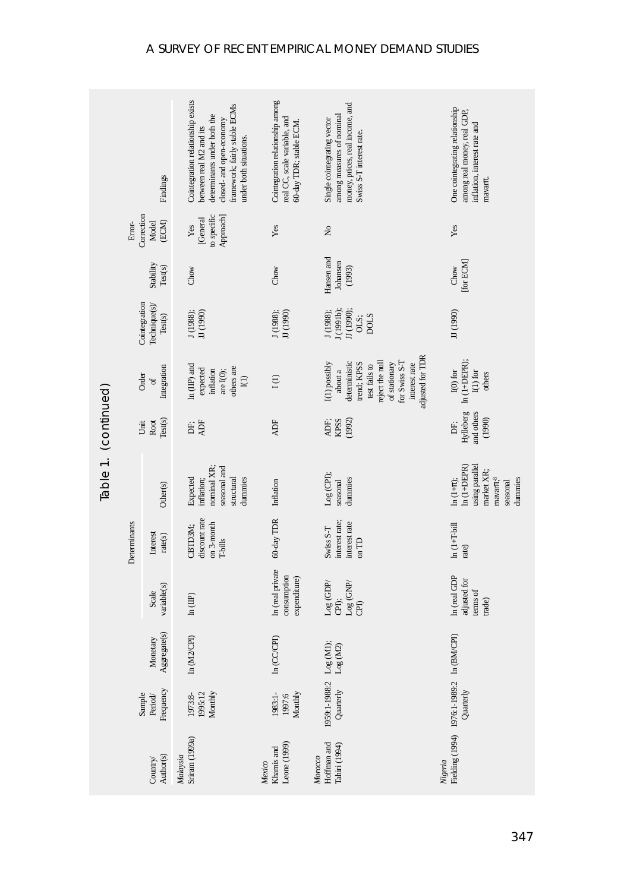|                       | Findings                                  |                          | Cointegration relationship exists<br>framework; fairly stable ECMs<br>determinants under both the<br>closed- and open-economy<br>between real M2 and its<br>under both situations. | Cointegration relationship among<br>real CC, scale variable, and<br>60-day TDR; stable ECM. | money, prices, real income, and<br>among measures of nominal<br>Single cointegrating vector<br>Swiss S-T interest rate.                                                                                                                                                                                                                                                                 | One cointegrating relationship<br>among real money, real GDP,<br>inflation, interest rate and<br>mavarn.  |
|-----------------------|-------------------------------------------|--------------------------|------------------------------------------------------------------------------------------------------------------------------------------------------------------------------------|---------------------------------------------------------------------------------------------|-----------------------------------------------------------------------------------------------------------------------------------------------------------------------------------------------------------------------------------------------------------------------------------------------------------------------------------------------------------------------------------------|-----------------------------------------------------------------------------------------------------------|
|                       | Correction<br>Error-                      | (ECM)<br>Model           | to specific<br>Approach]<br>[General<br>Yes                                                                                                                                        | Yes                                                                                         | $\stackrel{\circ}{\mathsf{z}}$                                                                                                                                                                                                                                                                                                                                                          | Yes                                                                                                       |
|                       |                                           | Stability<br>Test(s)     | Chow                                                                                                                                                                               | Chow                                                                                        | Hansen and<br>Johansen<br>(1993)                                                                                                                                                                                                                                                                                                                                                        | [for ECM]<br>Chow                                                                                         |
|                       | Cointegration<br>Technique(s)/<br>Test(s) |                          | JJ (1990)<br>J(1988);                                                                                                                                                              | J(1988);<br>JJ (1990)                                                                       | J(1991b);<br>Л (1990);<br>J(1988);<br>OLS;<br><b>DOLS</b>                                                                                                                                                                                                                                                                                                                               | JJ (1990)                                                                                                 |
|                       | Integration<br>Order<br>$\sigma$          |                          | $ln$ (IP) and<br>others are<br>expected<br>inflation<br>are $I(0)$ ;<br>$\bar{I}(1)$                                                                                               | I(1)                                                                                        | adjusted for TDR<br>for Swiss S-T<br>reject the null<br>deterministic<br>I(1) possibly<br>of stationary<br>interest rate<br>trend; KPSS<br>test fails to<br>about a                                                                                                                                                                                                                     | I(0) for<br>$\ln{(1+DEPR)};$<br>$\mathbf{I}(1)$ for<br>others                                             |
|                       | Test(s)<br>Root<br>Unit                   |                          | ADF<br>DË,                                                                                                                                                                         | <b>ADF</b>                                                                                  | <b>KPSS</b><br>(1992)<br>ADF;                                                                                                                                                                                                                                                                                                                                                           | and others<br>Hylleberg<br>(1990)<br>È.                                                                   |
| Table 1. (continued)  | Determinants                              | Other(s)                 | nominal XR;<br>seasonal and<br>structural<br>inflation;<br>dummies<br>Expected                                                                                                     | Inflation                                                                                   | $Log$ (CPI);<br>dummies<br>seasonal                                                                                                                                                                                                                                                                                                                                                     | using parallel<br>$ln(1+DEPR)$<br>market XR;<br>maxar <sub>1</sub><br>$ln(1+\pi);$<br>dummies<br>seasonal |
|                       |                                           | Interest<br>rate(s)      | discount rate<br>on 3-month<br>CBTD3M;<br><b>T-bills</b>                                                                                                                           | 60-day TDR                                                                                  | interest rate;<br>interest rate<br>Swiss S-T<br>on TD                                                                                                                                                                                                                                                                                                                                   | $ln(1+T-bill$<br>rate)                                                                                    |
|                       |                                           | variable(s)<br>Scale     | In (IIP)                                                                                                                                                                           | In (real private<br>consumption<br>expenditure)                                             | $\rm{Log}\,(\rm{GDP}/% \rm{GDP}/\rm{GDP}/\rm{GDP}/\rm{GDP}/\rm{GDP}/\rm{GDP}/\rm{GDP}/\rm{GDP}/\rm{GDP}/\rm{GDP}/\rm{GDP}/\rm{GDP}/\rm{GDP}/\rm{GDP}/\rm{GDP}/\rm{GDP}/\rm{GDP}/\rm{GDP}/\rm{GDP}/\rm{GDP}/\rm{GDP}/\rm{GDP}/\rm{GDP}/\rm{GDP}/\rm{GDP}/\rm{GDP}/\rm{GDP}/\rm{GDP}/\rm{GDP}/\rm{GDP}/\rm{GDP}/\rm{GDP}/\rm{GDP}/\rm{GDP}/\rm{$<br>$Log$ (GNP/<br>CPI);<br>$\widehat{E}$ | In (real GDP<br>adjusted for<br>terms of<br>trade)                                                        |
|                       |                                           | Aggregate(s)<br>Monetary | In (M2/CPI)                                                                                                                                                                        | $ln$ (CC/CPI)                                                                               | Log(M2)                                                                                                                                                                                                                                                                                                                                                                                 |                                                                                                           |
|                       | Frequency<br>Sample<br>Period/            |                          | Monthly<br>1995:12<br>1973:8-                                                                                                                                                      | 1983:1-<br>Monthly<br>1997:6                                                                | 1959:1-1988:2 Log (M1);<br>Quarterly                                                                                                                                                                                                                                                                                                                                                    | Fielding (1994) 1976:1-1989:2 In (BM/CPI)<br>Quarterly                                                    |
| Author(s)<br>Country/ |                                           |                          | Sriram (1999a)<br>Malaysia                                                                                                                                                         | Khamis and<br>Leone (1999)<br>Mexico                                                        | Hoffman and<br>Tahiri (1994)<br>Morocco                                                                                                                                                                                                                                                                                                                                                 | Nigeria                                                                                                   |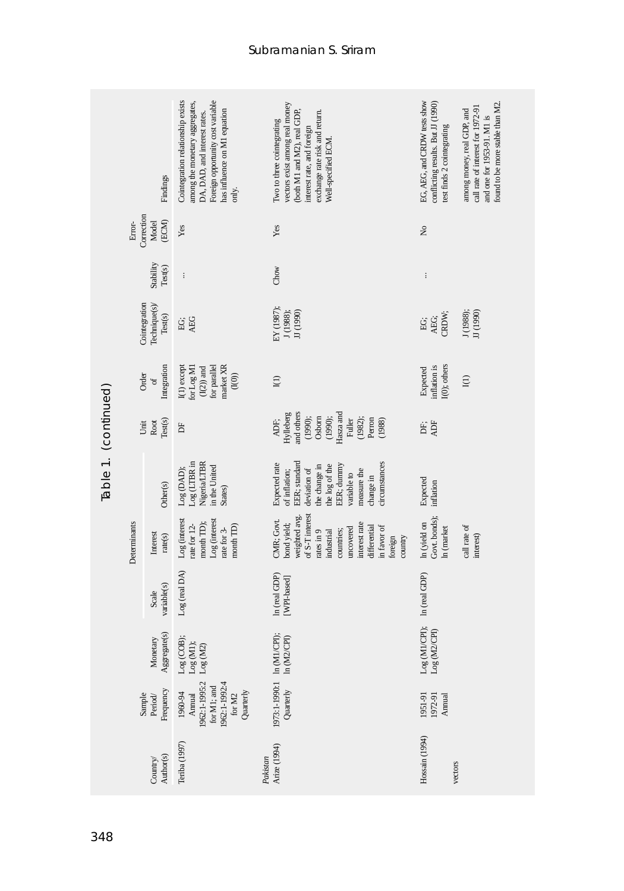|                               |                                                                               | Findings                 | Cointegration relationship exists<br>Foreign opportunity cost variable<br>among the monetary aggregates,<br>has influence on M1 equation<br>DA, DAD, and interest rates.<br>only. | vectors exist among real money<br>(both M1 and M2), real GDP,<br>exchange rate risk and return.<br>I'vo to three cointegrating<br>interest rate, and foreign<br>Well-specified ECM       | EG, AEG, and CRDW tests show<br>conflicting results. But JJ (1990)<br>test finds 2 cointegrating | found to be more stable than M2.<br>call rate of interest for 1972-91<br>among money, real GDP, and<br>and one for 1953-91. M1 is |
|-------------------------------|-------------------------------------------------------------------------------|--------------------------|-----------------------------------------------------------------------------------------------------------------------------------------------------------------------------------|------------------------------------------------------------------------------------------------------------------------------------------------------------------------------------------|--------------------------------------------------------------------------------------------------|-----------------------------------------------------------------------------------------------------------------------------------|
|                               | Correction<br>Error-                                                          | (ECM)<br>Model           | Yes                                                                                                                                                                               | Yes                                                                                                                                                                                      | ż                                                                                                |                                                                                                                                   |
|                               |                                                                               | Stability<br>Test(s)     | $\vdots$                                                                                                                                                                          | Chow                                                                                                                                                                                     | $\vdots$                                                                                         |                                                                                                                                   |
|                               | Cointegration<br>Technique(s)/<br>Test(s)<br>Integration<br>Order<br>$\sigma$ |                          | AEG<br>EG;                                                                                                                                                                        | EY (1987);<br>J (1988);<br>JJ (1990)                                                                                                                                                     | AEG;<br>CRDW;<br>ĖĠ,                                                                             | J(1988);<br>JJ (1990)                                                                                                             |
|                               |                                                                               |                          | for parallel<br>narket XR<br>or Log M1<br>I(1) except<br>$(\mathrm{I}(2))$ and<br>(1(0))                                                                                          | $\mathbf{I}(1)$                                                                                                                                                                          | I(0); others<br>nflation is<br>Expected                                                          | I(1)                                                                                                                              |
|                               | Unit                                                                          | Test(s)<br>Root          | 占                                                                                                                                                                                 | and others<br>Hasza and<br>Hylleberg<br>Osborn<br>(1990);<br>(1990);<br>(1982);<br>Perron<br>Fuller<br>(1988)<br>ADF;                                                                    | ADF<br>È.                                                                                        |                                                                                                                                   |
| Table 1. (continued)          |                                                                               | Other(s)                 | Nigeria/LTBR<br>$Log$ (LTBR in<br>in the United<br>Log (DAD);<br>States)                                                                                                          | EER; standard<br>circumstances<br>Expected rate<br>EER; dunnny<br>the change in<br>the log of the<br>deviation of<br>of inflation;<br>neasure the<br>variable to<br>change in            | Expected<br>inflation                                                                            |                                                                                                                                   |
|                               | Determinants                                                                  | Interest<br>rate(s)      | Log (interest<br>Log (interest<br>nonth TD);<br>rate for 12-<br>month TD)<br>rate for 3-                                                                                          | of S-T interest<br>weighted avg.<br>CMR; Govt.<br>bond yield;<br>interest rate<br>differential<br>n favor of<br>uncovered<br>countries;<br>rates in 9<br>ndustrial<br>foreign<br>country | Govt. bonds);<br>In (yield on<br>In (market                                                      | call rate of<br>interest)                                                                                                         |
|                               |                                                                               | variable(s)<br>Scale     | Log (real DA)                                                                                                                                                                     | In (real GDP)<br>[WPI-based]                                                                                                                                                             | In (real GDP)                                                                                    |                                                                                                                                   |
|                               |                                                                               | Monetary<br>Aggregate(s) | $\begin{array}{l} \textsf{Log (COB)};\\ \textsf{Log (MI)}; \end{array}$<br>$\rm Log~(M2)$                                                                                         | In $(M1/CPI)$ ;<br>ln(M2CPI)                                                                                                                                                             | Log (M1/CPI);<br>Log (M2/CPI)                                                                    |                                                                                                                                   |
| Frequency<br>Sample<br>Period |                                                                               |                          | 1962:1-1995:2<br>1962:1-1992:4<br>for M1; and<br>Quarterly<br>1960-94<br>for $\rm M2$<br>Annual                                                                                   | 1973:1-1990:1<br>Quarterly                                                                                                                                                               | 1951-91<br>1972-91<br>Annual                                                                     |                                                                                                                                   |
|                               |                                                                               | Author(s)<br>Country/    | Teriba (1997)                                                                                                                                                                     | Arize (1994)<br>Pakistan                                                                                                                                                                 | Hossain (1994)<br>vectors                                                                        |                                                                                                                                   |
| 348                           |                                                                               |                          |                                                                                                                                                                                   |                                                                                                                                                                                          |                                                                                                  |                                                                                                                                   |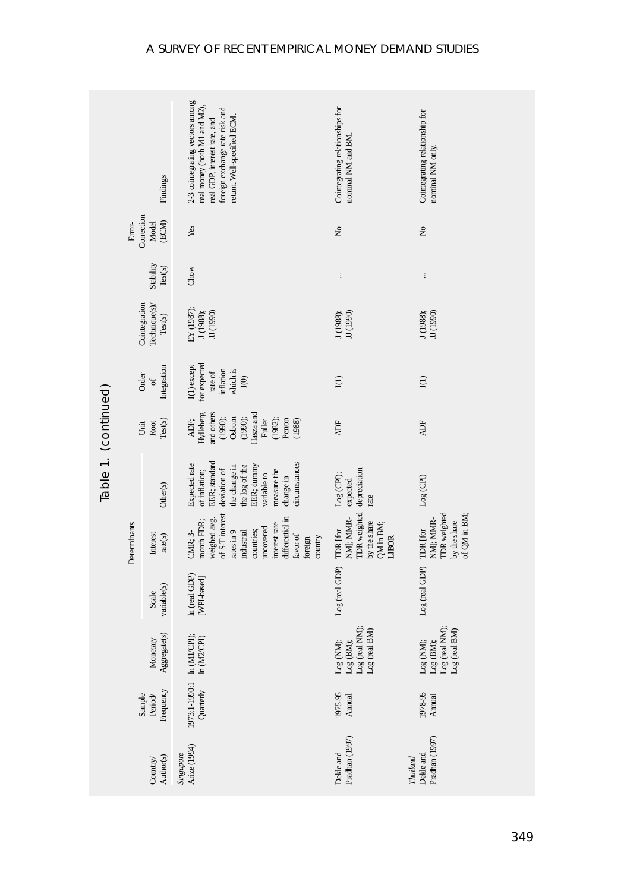|                       |                                        | Findings                                  | 2-3 cointegrating vectors among<br>real money (both M1 and M2)<br>foreign exchange rate risk and<br>return. Well-specified ECM.<br>real GDP, interest rate, and                     | Cointegrating relationships for<br>nominal NM and BM.                              | Cointegrating relationship for<br>nominal NM only.                           |
|-----------------------|----------------------------------------|-------------------------------------------|-------------------------------------------------------------------------------------------------------------------------------------------------------------------------------------|------------------------------------------------------------------------------------|------------------------------------------------------------------------------|
|                       | Correction<br>Error-<br>(ECM)<br>Model |                                           | Yes                                                                                                                                                                                 | $\tilde{z}$                                                                        | $\tilde{z}$                                                                  |
|                       |                                        | Stability<br>Test(s)                      | Chow                                                                                                                                                                                | $\vdots$                                                                           | $\vdots$                                                                     |
|                       |                                        | Cointegration<br>Technique(s)/<br>Test(s) | EY (1987);<br>JJ (1990)<br>J(1988);                                                                                                                                                 | J (1988);<br>JJ (1990)                                                             | JJ (1990)<br>J (1988);                                                       |
|                       | Integration<br>Order<br>of             |                                           | for expected<br>I(1) except<br>which is<br>inflation<br>rate of<br>${\rm I}(0)$                                                                                                     | ${\rm I}(1)$                                                                       | I(1)                                                                         |
|                       | Test(s)<br>Root<br>Unit                |                                           | Hylleberg<br>and others<br>Hasza and<br>Osborn<br>(1990);<br>(1990);<br>(1982);<br>Perron<br>(1988)<br>ADF;<br>Fuller                                                               | <b>ADF</b>                                                                         | <b>ADF</b>                                                                   |
| Table 1. (continued)  |                                        | Other(s)                                  | EER; standard<br><i>circumstances</i><br>Expected rate<br>EER; dummy<br>the change in<br>the log of the<br>deviation of<br>of inflation;<br>measure the<br>variable to<br>change in | depreciation<br>Log (CPI);<br>expected<br>rate                                     | $Log$ (CPI)                                                                  |
|                       | Determinants                           | Interest<br>rate(s)                       | of S-T interest<br>weighed avg.<br>differential in<br>nonth FDR;<br>nterest rate<br>uncovered<br>countries;<br>rates in 9<br>ndustrial<br>CMR; 3-<br>favor of<br>country<br>foreign | <b>TDR</b> weighted<br>NM]; MMR-<br>by the share<br>QM in BM;<br>TDR [for<br>LIBOR | <b>TDR</b> weighted<br>of QM in BM;<br>by the share<br>NM]; MMR-<br>TDR [for |
|                       |                                        | variable(s)<br>Scale                      | In (real GDP)<br>[WPI-based]                                                                                                                                                        | Log (real GDP)                                                                     | Log (real GDP)                                                               |
|                       |                                        | Aggregate(s)<br>Monetary                  | In $(M1/CPI)$ ;<br>In $(M2/CPI)$                                                                                                                                                    | Log (real NM);<br>Log (real BM)<br>Log (NM);<br>$Log$ (BM);                        | Log (real NM);<br>$Log$ (real ${\rm BM}$<br>Log (NM);<br>Log (BM);           |
|                       | Sample                                 | Frequency<br>Period/                      | 1973:1-1990:1<br>Quarterly                                                                                                                                                          | 1975-95<br>Annual                                                                  | 1978-95<br>Annual                                                            |
| Author(s)<br>Country/ |                                        |                                           | Arize (1994)<br>Singapore                                                                                                                                                           | Pradhan (1997)<br>Dekle and                                                        | Pradhan (1997)<br>Dekle and<br>Thailand                                      |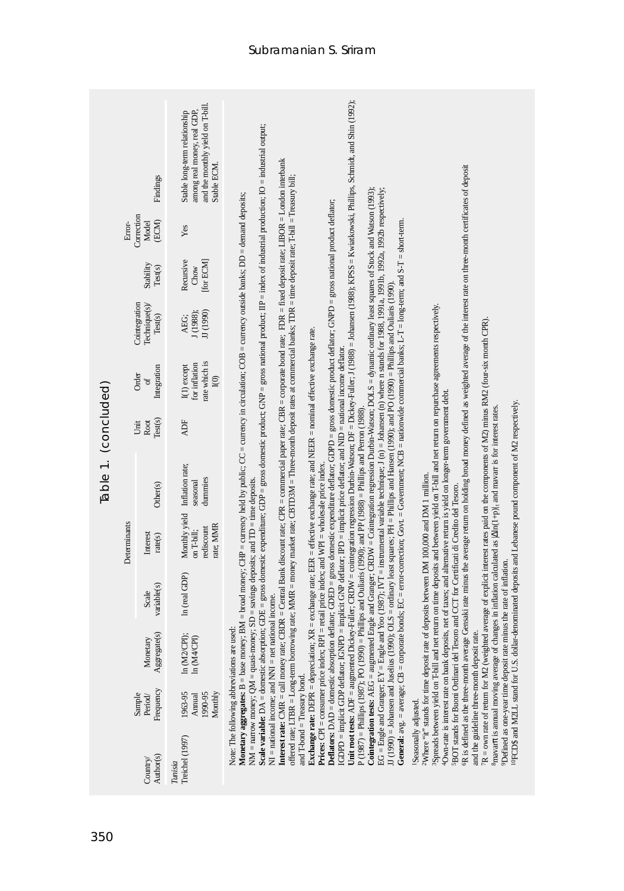|                      |              | Findings                                  | and the monthly yield on T-bill.<br>among real money, real GDP,<br>Stable long-term relationship<br>Stable ECM. | Unit root tests: ADF = augmented Dickey-Fuller, CRDW = cointegration regression Durbin-Watson; DF = Dickey-Fuller, J (1988) = Johansen (1988); KPSS = Kwiatkowski, Phillips, Schmidt, and Shin (1992);<br>Scale variable: $DA =$ domestic absorption; GDE = gross domestic expenditure; GDP = gross domestic product; GNP = gross national product; IIP = index of industrial production; IO = industrial output;                                                                                                                                                                                                                                                                                                                                                                                                                                                                                                                                                                                                                                                                                                                                                                                                                                                                                                                                                                                                                                                                                                                                                                                                                                                                                                                                                                                                                                                                                                                                                                                                                                                                                                                                                                                                        |
|----------------------|--------------|-------------------------------------------|-----------------------------------------------------------------------------------------------------------------|--------------------------------------------------------------------------------------------------------------------------------------------------------------------------------------------------------------------------------------------------------------------------------------------------------------------------------------------------------------------------------------------------------------------------------------------------------------------------------------------------------------------------------------------------------------------------------------------------------------------------------------------------------------------------------------------------------------------------------------------------------------------------------------------------------------------------------------------------------------------------------------------------------------------------------------------------------------------------------------------------------------------------------------------------------------------------------------------------------------------------------------------------------------------------------------------------------------------------------------------------------------------------------------------------------------------------------------------------------------------------------------------------------------------------------------------------------------------------------------------------------------------------------------------------------------------------------------------------------------------------------------------------------------------------------------------------------------------------------------------------------------------------------------------------------------------------------------------------------------------------------------------------------------------------------------------------------------------------------------------------------------------------------------------------------------------------------------------------------------------------------------------------------------------------------------------------------------------------|
|                      | Error-       | Correction<br>(ECM)<br>Model              | Yes                                                                                                             |                                                                                                                                                                                                                                                                                                                                                                                                                                                                                                                                                                                                                                                                                                                                                                                                                                                                                                                                                                                                                                                                                                                                                                                                                                                                                                                                                                                                                                                                                                                                                                                                                                                                                                                                                                                                                                                                                                                                                                                                                                                                                                                                                                                                                          |
|                      |              | Stability<br>Test(s)                      | Recursive<br>for ECM<br>Chow                                                                                    |                                                                                                                                                                                                                                                                                                                                                                                                                                                                                                                                                                                                                                                                                                                                                                                                                                                                                                                                                                                                                                                                                                                                                                                                                                                                                                                                                                                                                                                                                                                                                                                                                                                                                                                                                                                                                                                                                                                                                                                                                                                                                                                                                                                                                          |
|                      |              | Cointegration<br>Technique(s)/<br>Test(s) | JJ (1990)<br>J(1988);<br>AEG.                                                                                   |                                                                                                                                                                                                                                                                                                                                                                                                                                                                                                                                                                                                                                                                                                                                                                                                                                                                                                                                                                                                                                                                                                                                                                                                                                                                                                                                                                                                                                                                                                                                                                                                                                                                                                                                                                                                                                                                                                                                                                                                                                                                                                                                                                                                                          |
|                      |              | Integration<br>Order<br>$\sigma$          | rate which is<br>for inflation<br>I(1) except<br>$\widehat{I}(0)$                                               | Interest rate: CMR = call money rate; CBDR = Central Bank discount rate; CPR = commercial paper rate; CBR = corporate bond rate; FDR = fixed deposit rate; LIBOR = London interbank<br>R is defined as the three-month average Gensaki rate minus the average return on holding broad money defined as weighted average of the interest rate on three-month certificates of deposit<br>offered rate; LTBR = Long-term borrowing rate; MMR = money market rate; CBTD3M = Three-month deposit rates at commercial banks; TDR = time deposit rate; Tbill = Treasury bill;<br>EG = Engle and Granger, EY = Engle and Yoo (1987); IVT = instrumental variable technique; J (n) = Johansen (n) where n stands for 1988, 1991a, 1991b, 1992a, 1992b respectively;<br>Cointegration tests: AEG = augmented Engle and Granger; CRDW = Cointegration regression Durbin-Watson; DOLS = dynamic ordinary least squares of Stock and Watson (1993);<br>Monetary aggregates: $B = base$ money; $BM = broad$ money; CHP = currency held by public; CC = currency in circulation; COB = currency outside banks; DD = demand deposits;<br>Deflators: DAD = domestic absorption deflator; GDED = gross domestic expenditure deflator; GDPD = gross domestic product deflator; GNPD = gross national product deflator;<br>General: $avg = average$ CB = corporate bonds; EC = erro-correction; Govt. = Government; NCB = nationwide commercial banks; L-T = long-term; and S-T = short-term.<br>II (1990) = Johansen and Juselius (1990); OLS = ordinary least squares; PH = Phillips and Hansen (1990); and PO (1990) = Phillips and Ouliaris (1990)<br>Spreads between yield on T-bill and net return on time deposits and between yield on T-bill and net return on repurchase agreements respectively.<br>$R = own$ rate of return for M2 (weighted average of explicit interest rates paid on the components of M2) minus RM2 (four-six month CPR).<br><b>Exchange rate:</b> DEPR = depreciation; $XR = exchange$ rate; EER = effective exchange rate; and NEER = nominal effective exchange rate.<br>IGDPD = implicit GDP deflator; IGNPD = implicit GNP deflator; IPD = implicit price deflator; and NID = national income deflator. |
|                      |              | Test(s)<br>Root<br>Unit                   | <b>ADF</b>                                                                                                      |                                                                                                                                                                                                                                                                                                                                                                                                                                                                                                                                                                                                                                                                                                                                                                                                                                                                                                                                                                                                                                                                                                                                                                                                                                                                                                                                                                                                                                                                                                                                                                                                                                                                                                                                                                                                                                                                                                                                                                                                                                                                                                                                                                                                                          |
| Table 1. (concluded) |              | Other(s)                                  | Inflation rate;<br>dummies<br>seasonal                                                                          |                                                                                                                                                                                                                                                                                                                                                                                                                                                                                                                                                                                                                                                                                                                                                                                                                                                                                                                                                                                                                                                                                                                                                                                                                                                                                                                                                                                                                                                                                                                                                                                                                                                                                                                                                                                                                                                                                                                                                                                                                                                                                                                                                                                                                          |
|                      | Determinants | Interest<br>rate(s)                       | Monthly yield<br>rate; MMR<br>rediscount<br>on T-bill;                                                          |                                                                                                                                                                                                                                                                                                                                                                                                                                                                                                                                                                                                                                                                                                                                                                                                                                                                                                                                                                                                                                                                                                                                                                                                                                                                                                                                                                                                                                                                                                                                                                                                                                                                                                                                                                                                                                                                                                                                                                                                                                                                                                                                                                                                                          |
|                      |              | variable(s)<br>Scale                      | In (real GDP)                                                                                                   | changes in inflation calculated as $ \Delta ln(1+p) $ , and mavarr is for interest rates.<br>= Phillips and Ouliaris (1990); and PP (1988) = Phillips and Perron (1988).                                                                                                                                                                                                                                                                                                                                                                                                                                                                                                                                                                                                                                                                                                                                                                                                                                                                                                                                                                                                                                                                                                                                                                                                                                                                                                                                                                                                                                                                                                                                                                                                                                                                                                                                                                                                                                                                                                                                                                                                                                                 |
|                      |              | Aggregate(s)<br>Monetary                  | In (M2/CPI);<br>In (M4/CPI)                                                                                     | 4Own-rate is interest rate on bank deposits, net of taxes; and alternative return is yield on longer-term government debt.<br><sup>01</sup> FCD\$ and M2LL stand for U.S. dollar-denominated deposits and Lebanese pound component of M2 respectively,<br><b>Prices:</b> CPI = consumer price index; $RPI$ = retail price index; and $WPI$ = wholesale price index.<br><sup>2</sup> Where "it" stands for time deposit rate of deposits between DM 100,000 and DM 1 million.<br>NM = narrow money; $QM = quasi-money$ ; $SD = savings$ deposits; and $TD = time$ deposits.<br>5BOT stands for Buoni Ordinari del Tesoro and CCT for Certificati di Credito del Tesoro.<br>PDefined as one-year time deposit rate minus the rate of inflation.<br>$NI =$ national income; and $NNI =$ net national income.                                                                                                                                                                                                                                                                                                                                                                                                                                                                                                                                                                                                                                                                                                                                                                                                                                                                                                                                                                                                                                                                                                                                                                                                                                                                                                                                                                                                                |
|                      |              | Frequency<br>Sample<br>Period             | 1963-95<br>Monthly<br>1990-95<br>Annual                                                                         | Note: The following abbreviations are used:<br>and the guideline three-month deposit rate.<br>$P(1987) =$ Phillips $(1987)$ ; PO $(1990)$<br><sup>8</sup> mavarn is annual moving average of<br>and T-bond = Treasury bond.                                                                                                                                                                                                                                                                                                                                                                                                                                                                                                                                                                                                                                                                                                                                                                                                                                                                                                                                                                                                                                                                                                                                                                                                                                                                                                                                                                                                                                                                                                                                                                                                                                                                                                                                                                                                                                                                                                                                                                                              |
|                      |              | Author(s)<br>Country/                     | Treichel (1997)<br>Tunisia                                                                                      | Seasonally adjusted.                                                                                                                                                                                                                                                                                                                                                                                                                                                                                                                                                                                                                                                                                                                                                                                                                                                                                                                                                                                                                                                                                                                                                                                                                                                                                                                                                                                                                                                                                                                                                                                                                                                                                                                                                                                                                                                                                                                                                                                                                                                                                                                                                                                                     |
| 350                  |              |                                           |                                                                                                                 |                                                                                                                                                                                                                                                                                                                                                                                                                                                                                                                                                                                                                                                                                                                                                                                                                                                                                                                                                                                                                                                                                                                                                                                                                                                                                                                                                                                                                                                                                                                                                                                                                                                                                                                                                                                                                                                                                                                                                                                                                                                                                                                                                                                                                          |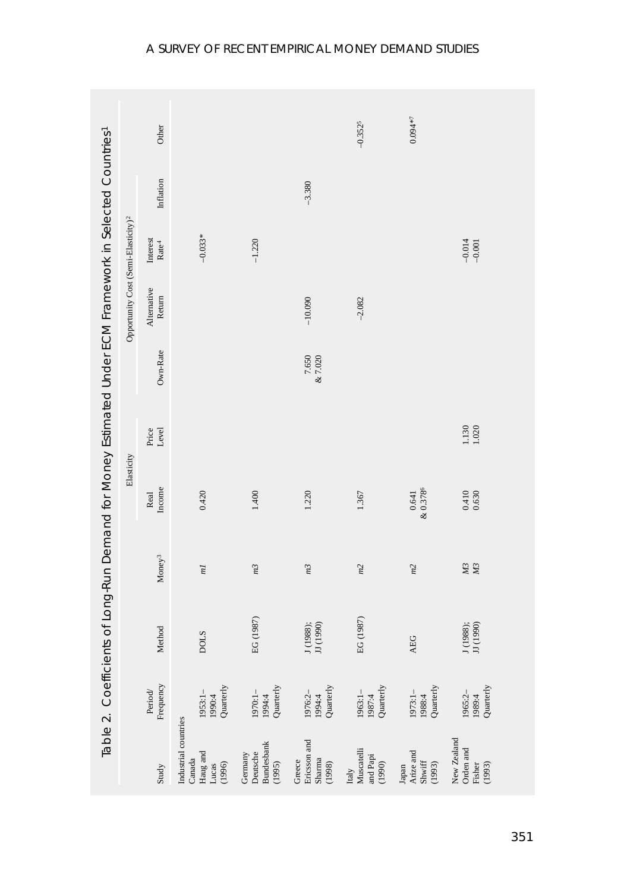|                                                               |                                         | Table 2. Coefficients of Long-Run Demand for Money Estimated Under ECM Framework in Selected Countries? |                                    |                  |                    |                  |                                                 |                                  |           |           |
|---------------------------------------------------------------|-----------------------------------------|---------------------------------------------------------------------------------------------------------|------------------------------------|------------------|--------------------|------------------|-------------------------------------------------|----------------------------------|-----------|-----------|
|                                                               |                                         |                                                                                                         |                                    | Elasticity       |                    |                  | Opportunity Cost (Semi-Elasticity) <sup>2</sup> |                                  |           |           |
| Study                                                         | Frequency<br>Period/                    | Method                                                                                                  | Money <sup>3</sup>                 | Real<br>Income   | Level<br>Price     | Own-Rate         | Alternative<br>Return                           | ${\rm Interest} \\ {\rm Rate}^4$ | Inflation | Other     |
| Industrial countries<br>Haug and<br>Canada<br>(1996)<br>Lucas | Quarterly<br>1953:1-<br>1990:4          | <b>DOLS</b>                                                                                             | $\overline{m}$                     | 0.420            |                    |                  |                                                 | $-0.033*$                        |           |           |
| Bundesbank<br>Deutsche<br>Germany<br>(1995)                   | 1970:1- $1994:4$<br>1994:4<br>Quarterly | EG (1987)                                                                                               | m <sup>3</sup>                     | 1.400            |                    |                  |                                                 | $-1.220$                         |           |           |
| Ericsson and<br>Sharma<br>Greece<br>(1998)                    | Quarterly<br>1976:2-<br>1994:4          | J (1988);<br>JJ (1990)                                                                                  | m <sup>3</sup>                     | 1.220            |                    | 7.650<br>& 7.020 | $-10.090$                                       |                                  | $-3.380$  |           |
| Muscatelli<br>and Papi<br>(1990)<br>Italy                     | 1987:4 Quarterly<br>$1963:1 -$          | EG (1987)                                                                                               | m2                                 | 1.367            |                    |                  | $-2.082$                                        |                                  |           | $-0.3525$ |
| Arize and<br>$\text{Shwiff}$<br>(1993)<br>Japan               | 1973:1- $1988:4$<br>1988:4<br>Quarterly | AEG                                                                                                     | m2                                 | &0.3786<br>0.641 |                    |                  |                                                 |                                  |           | $0.094*7$ |
| New Zealand<br>Orden and<br>Fisher<br>(1993)                  | 1989:4<br>Quarterly<br>1965:2-          | J (1988);<br>JJ (1990)                                                                                  | $\overline{M}3$<br>$\overline{M3}$ | $0.410$<br>0.630 | $1.130$<br>$1.020$ |                  |                                                 | $-0.014$<br>$-0.001$             |           |           |
|                                                               |                                         |                                                                                                         |                                    |                  |                    |                  |                                                 |                                  |           |           |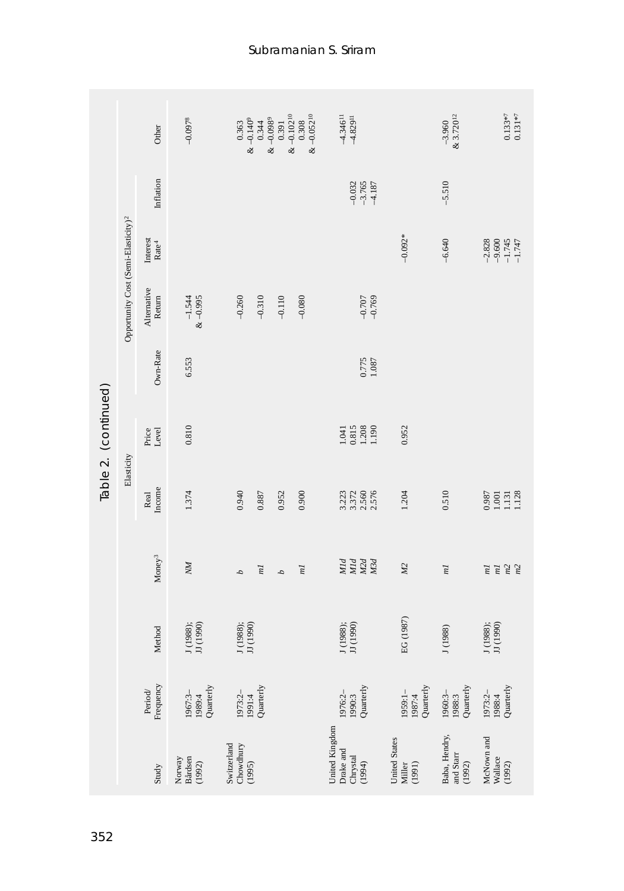|                      |                                                 | Other                         | $-0.0978$                      | $0.363$<br>& -0.140 <sup>9</sup><br>0.344 | $& -0.0989$<br>0.391 | $x - 0.10210$<br>$& -0.052^{10}$<br>0.308 | $4.346$ <sup>11</sup><br>$+4.829$ <sup>11</sup>                    |                                     | $-3.960$<br>& 3.720 <sup>12</sup>                    | $0.133*7$<br>$0.131*7$                                          |
|----------------------|-------------------------------------------------|-------------------------------|--------------------------------|-------------------------------------------|----------------------|-------------------------------------------|--------------------------------------------------------------------|-------------------------------------|------------------------------------------------------|-----------------------------------------------------------------|
|                      |                                                 | Inflation                     |                                |                                           |                      |                                           | $-0.032$<br>$-3.765$<br>$+1.87$                                    |                                     | $-5.510$                                             |                                                                 |
|                      |                                                 | Interest<br>$\mathrm{Rate}^4$ |                                |                                           |                      |                                           |                                                                    | $-0.092*$                           | $-6.640$                                             | $-9.600$<br>$-1.745$<br>-1.747<br>$-2.828$                      |
|                      | Opportunity Cost (Semi-Elasticity) <sup>2</sup> | Alternative<br>Return         | $-1.544$<br>& -0.995           | $-0.260$<br>$-0.310$                      | $-0.110$             | $-0.080$                                  | $-0.707$<br>$-0.769$                                               |                                     |                                                      |                                                                 |
|                      |                                                 | Own-Rate                      | 6.553                          |                                           |                      |                                           | $0.775$<br>1.087                                                   |                                     |                                                      |                                                                 |
| Table 2. (continued) |                                                 | Price<br>Level                | 0.810                          |                                           |                      |                                           | $\begin{array}{c} 1.041 \\ 0.815 \\ 1.208 \\ 1.190 \\ \end{array}$ | 0.952                               |                                                      |                                                                 |
|                      | Elasticity                                      | Income<br>Real                | 1.374                          | 0.940<br>0.887                            | 0.952                | 0.900                                     | 3.372<br>2.560<br>2.576<br>3.223                                   | 1.204                               | 0.510                                                | $\begin{array}{c} 0.987 \\ 1.001 \\ 1.131 \\ 1.128 \end{array}$ |
|                      |                                                 | Money <sup>3</sup>            | NМ                             | m1<br>4                                   | 4                    | $\overline{m}$                            | Мld<br>M2d<br>NId<br>M3d                                           | M2                                  | m                                                    | m2<br>m1<br>m2<br>m                                             |
|                      |                                                 | Method                        | J (1988);<br>JJ (1990)         | J (1988);<br>JJ (1990)                    |                      |                                           | J (1988);<br>JJ (1990)                                             | EG (1987)                           | J (1988)                                             | J (1988);<br>JJ (1990)                                          |
|                      |                                                 | Frequency<br>Period/          | Quarterly<br>1967:3-<br>1989:4 | Quarterly<br>1973:2-<br>1991:4            |                      |                                           | Quarterly<br>1976:2-<br>1990:3                                     | Quarterly<br>$1959:1 -$<br>$1987:4$ | Quarterly<br>1960:3-<br>1988:3                       | 1988:4<br>Quarterly<br>1973:2-                                  |
|                      |                                                 | Study                         | Bårdsen<br>Norway<br>(1992)    | Switzerland<br>Chowdhury<br>(1995)        |                      |                                           | United Kingdom<br>Drake and<br>Chrystal<br>(1994)                  | United States<br>(1991)<br>Miller   | Baba, Hendry,<br>and $\operatorname{Star}$<br>(1992) | McNown and<br>Wallace<br>(1992)                                 |
| 352                  |                                                 |                               |                                |                                           |                      |                                           |                                                                    |                                     |                                                      |                                                                 |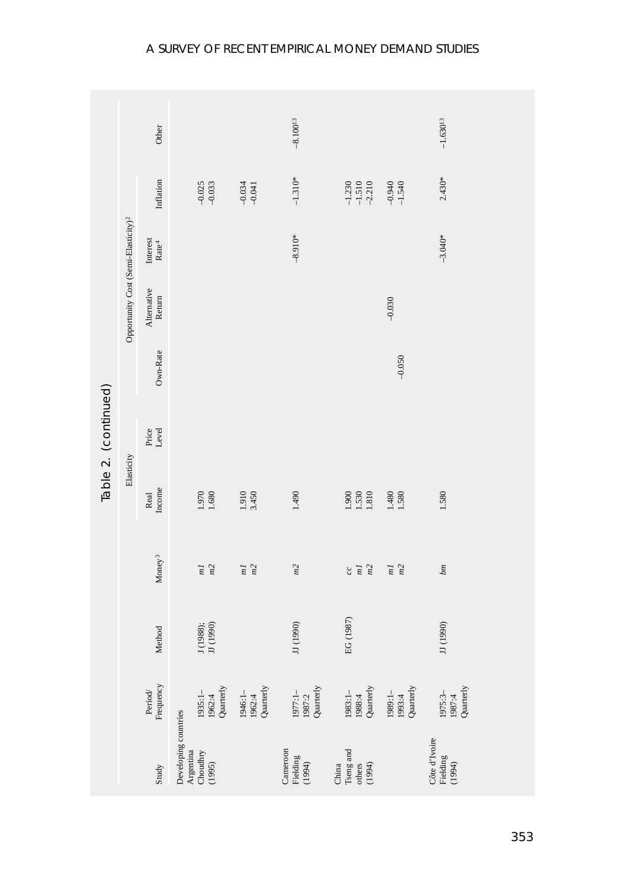|                      |                                                 | Other                                              |                                                                                                     |                                | $-8.100^{13}$                    |                                                                    | $-1.630^{13}$                       |  |
|----------------------|-------------------------------------------------|----------------------------------------------------|-----------------------------------------------------------------------------------------------------|--------------------------------|----------------------------------|--------------------------------------------------------------------|-------------------------------------|--|
|                      |                                                 | Inflation                                          | $-0.025$<br>$-0.033$                                                                                | $-0.034$                       | $-1.310*$                        | $-1.230$<br>$-1.510$<br>$-2.210$<br>$-0.940$<br>-1.540             | $2.430*$                            |  |
|                      |                                                 | ${\rm Interest} \atop {\rm Rate^4}$                |                                                                                                     |                                | $-8.910*$                        |                                                                    | $-3.040*$                           |  |
|                      | Opportunity Cost (Semi-Elasticity) <sup>2</sup> | Alternative<br>Return                              |                                                                                                     |                                |                                  | $-0.030$                                                           |                                     |  |
|                      |                                                 | Own-Rate                                           |                                                                                                     |                                |                                  | $-0.050$                                                           |                                     |  |
| Table 2. (continued) |                                                 | Price<br>Level                                     |                                                                                                     |                                |                                  |                                                                    |                                     |  |
|                      | Elasticity                                      | Income<br>Real                                     | 1.970<br>1.680                                                                                      | 1.910<br>3.450                 | 1.490                            | $\frac{1.900}{1.530}$<br>1.480<br>1.580                            | 1.580                               |  |
|                      |                                                 | Money <sup>3</sup>                                 | m <sub>2</sub><br>m1                                                                                | $\frac{m}{m^2}$                | m2                               | m2<br>m2<br>m1<br>m1<br>$_{cc}$                                    | $_{bm}$                             |  |
|                      |                                                 | Method                                             | J (1988);<br>JJ (1990)                                                                              |                                | JJ (1990)                        | EG (1987)                                                          | JJ (1990)                           |  |
|                      |                                                 | Frequency<br>$\ensuremath{\mathit{Period}}\xspace$ | 1935:1- $\frac{195:1}{1962:4}$<br>Quarterly                                                         | 1962:4<br>Quarterly<br>1946:1- | 1987:2<br>Quarterly<br>$1977:1-$ | Quarterly<br>1989:1-<br>1993:4<br>Quarterly<br>$1983:1-$<br>1988:4 | 1975:3- $\frac{1987:4}{1987:4}$     |  |
|                      |                                                 | Study                                              | Developing countries<br>$\begin{array}{c} \text{Argentin} \\ \text{Choudhry} \\ (1995) \end{array}$ |                                | Cameroon<br>Fielding<br>(1994)   | China<br>Tseng and<br>others<br>$(1994)$                           | Côte d'Ivoire<br>Fielding<br>(1994) |  |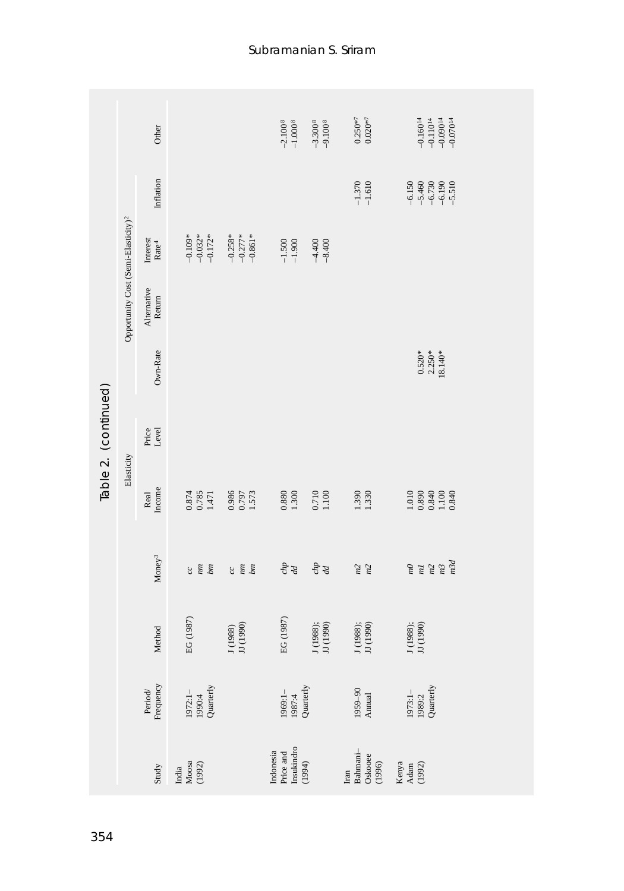|                      |                                                 | Other                            |                                         |                                            | $-2.1008$<br>$-1.0008$                         | $-3.3008$<br>$-9.1008$ | $0.250**7$<br>$0.020**7$                                  | $-0.16014$<br>$-0.11014$<br>$-0.09014$<br>$-0.07014$                   |  |
|----------------------|-------------------------------------------------|----------------------------------|-----------------------------------------|--------------------------------------------|------------------------------------------------|------------------------|-----------------------------------------------------------|------------------------------------------------------------------------|--|
|                      |                                                 | Inflation                        |                                         |                                            |                                                |                        | $-1.370$<br>$-1.610$                                      | $6150$<br>$6730$<br>$6730$<br>$6190$<br>$6190$<br>$69$<br>$69$<br>$69$ |  |
|                      |                                                 | ${\rm Interest} \\ {\rm Rate}^4$ | $-0.109*$<br>$-0.032*$<br>$-0.172*$     | $-0.258$ *<br>$-0.277$ *<br>$-0.861$ *     | $-1.500$<br>$-1.900$                           | $-4.400$<br>$-8.400$   |                                                           |                                                                        |  |
|                      | Opportunity Cost (Semi-Elasticity) <sup>2</sup> | Alternative<br>Return            |                                         |                                            |                                                |                        |                                                           |                                                                        |  |
|                      |                                                 | Own-Rate                         |                                         |                                            |                                                |                        |                                                           | $0.520*$<br>2.250*<br>18.140*                                          |  |
| Table 2. (continued) |                                                 | Price<br>Level                   |                                         |                                            |                                                |                        |                                                           |                                                                        |  |
|                      | Elasticity                                      | Income<br>Real                   | 0.874<br>0.785<br>1.471                 | 0.986<br>0.797<br>1.573                    | $\begin{array}{c} 0.880 \\ 1.300 \end{array}$  | 0.710<br>1.100         | 1.390                                                     |                                                                        |  |
|                      |                                                 | $\mathbf{Money}^3$               | $\frac{mn}{2}$<br>bm<br>$\mathcal{C}$   | $\overline{mn}$<br>b <sub>m</sub><br>$\Im$ | $\frac{chp}{d}$                                | $\frac{dp}{d}$         | m2<br>m2                                                  | m3d<br>m <sup>3</sup><br>$\mu\eta$<br>m <sup>2</sup><br>m1             |  |
|                      |                                                 | Method                           | EG (1987)                               | J (1988)<br>JJ (1990)                      | EG (1987)                                      | J (1988);<br>JJ (1990) | J (1988);<br>JJ (1990)                                    | J (1988);<br>JJ (1990)                                                 |  |
|                      |                                                 | Period/<br>Frequency             | 1972:1- $1990:4$<br>1990:4<br>Quarterly |                                            | 1969:1- $1987:4$<br>1987:4<br>Quarterly        |                        | $\begin{array}{c} 1959 - 90 \\ \text{Annual} \end{array}$ | 1973:1- $1989:2$<br>1989:2<br>Quarterly                                |  |
|                      |                                                 | Study                            | India<br>Moosa<br>(1992)                |                                            | Price and<br>Insukindro<br>(1994)<br>Indonesia |                        | Iran<br>Bahmani–<br>Oskooee<br>(1996)                     | Kenya<br>Adam<br>(1992)                                                |  |
| 354                  |                                                 |                                  |                                         |                                            |                                                |                        |                                                           |                                                                        |  |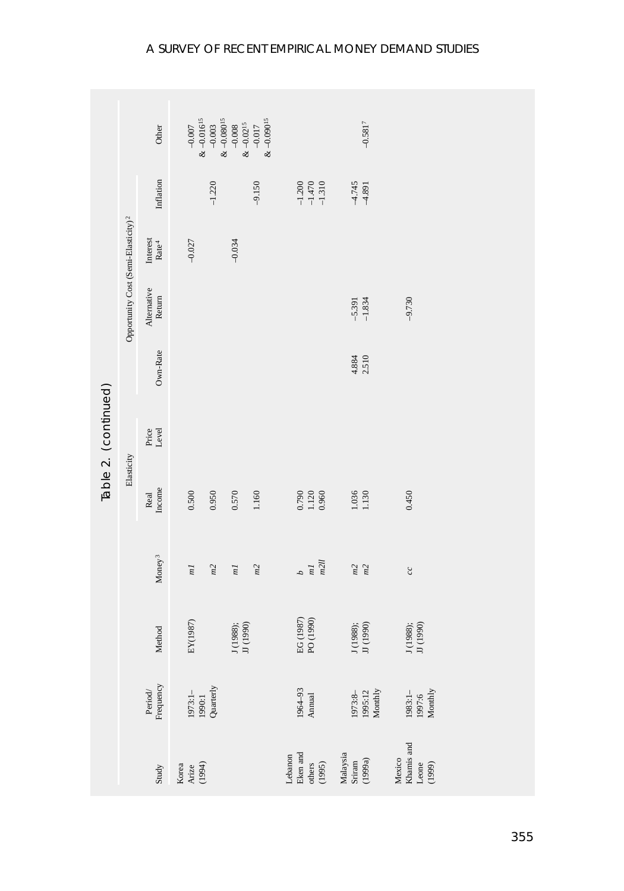|                      |                                                 | Other                                                                | $-0.007$<br>& $-0.016$ <sup>15</sup> | $-0.003$                                | $& -0.08015$<br>$-0.008$ | $& -0.09015$<br>$\&$ –0.0215<br>$-0.017$ |                                                                 | $-0.5817$                     |                                         |  |
|----------------------|-------------------------------------------------|----------------------------------------------------------------------|--------------------------------------|-----------------------------------------|--------------------------|------------------------------------------|-----------------------------------------------------------------|-------------------------------|-----------------------------------------|--|
|                      |                                                 |                                                                      |                                      |                                         |                          |                                          |                                                                 |                               |                                         |  |
|                      |                                                 | Inflation                                                            |                                      | $-1.220$                                |                          | $-9.150$                                 | $-1.200$<br>$-1.470$<br>$-1.310$                                | $4.745$<br>$4.891$            |                                         |  |
|                      |                                                 | ${\rm Interest} \atop {\rm Rate^4}$                                  | $-0.027$                             |                                         | $-0.034$                 |                                          |                                                                 |                               |                                         |  |
|                      | Opportunity Cost (Semi-Elasticity) <sup>2</sup> | Alternative<br>Return                                                |                                      |                                         |                          |                                          |                                                                 | $-5.391$<br>$-1.834$          | $-9.730$                                |  |
|                      |                                                 | Own-Rate                                                             |                                      |                                         |                          |                                          |                                                                 | 4.884                         |                                         |  |
| Table 2. (continued) |                                                 | Price<br>Level                                                       |                                      |                                         |                          |                                          |                                                                 |                               |                                         |  |
|                      | Elasticity                                      | Real<br>Income                                                       | $0.500\,$                            | 0.950                                   | 0.570                    | 1.160                                    | 0.790<br>1.120<br>0.960                                         | 1.036<br>1.130                | 0.450                                   |  |
|                      |                                                 | Money <sup>3</sup>                                                   | m                                    | m2                                      | ml                       | m2                                       | m2ll<br>ml<br>d                                                 | $\frac{m2}{m2}$               | $\mathcal{C}\mathcal{C}$                |  |
|                      |                                                 | Method                                                               | EY(1987)                             |                                         | J (1988);<br>JJ (1990)   |                                          | EG (1987)<br>PO (1990)                                          | J (1988);<br>JJ (1990)        | J (1988);<br>JJ (1990)                  |  |
|                      |                                                 | $\begin{array}{l} \mathrm{Period} \\ \mathrm{Frequency} \end{array}$ |                                      | 1973:1- $1990:1$<br>1990:1<br>Quarterly |                          |                                          | $\begin{array}{c} 1964\text{--}93 \\ \text{Annual} \end{array}$ | 1973:8-<br>1995:12<br>Monthly | 1983:1-<br>1997:6<br>Monthly            |  |
|                      |                                                 | Study                                                                | Korea<br>Arize<br>(1994)             |                                         |                          |                                          | Lebanon<br>Eken and<br>others<br>(1995)                         | Malaysia<br>Sriram<br>(1999a) | Mexico<br>Khamis and<br>Leone<br>(1999) |  |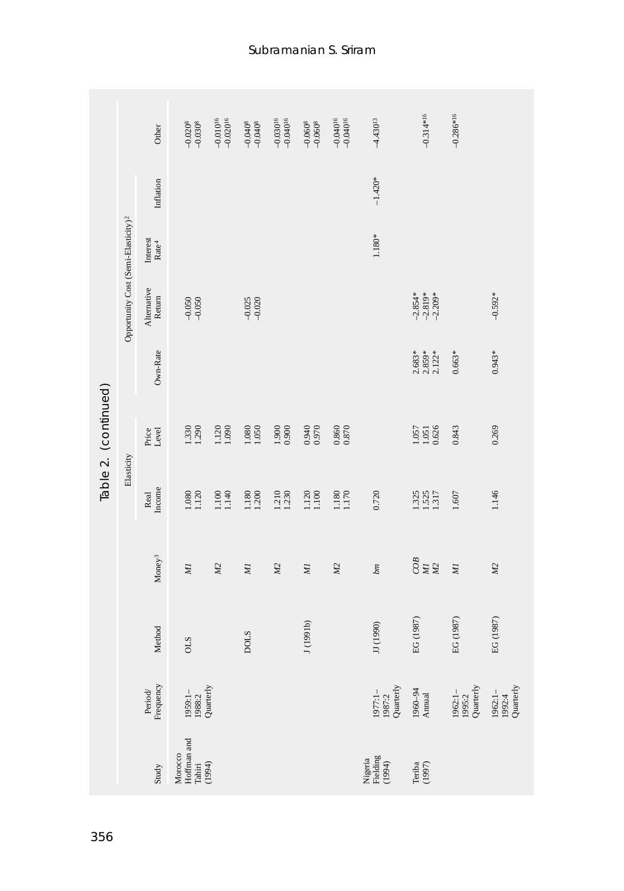|                      |                                                 | Other                         | $-0.0208$                                  | $-0.010^{16}$<br>$-0.020^{16}$ | $-0.0408$            | $-0.030^{16}$<br>$-0.040^{16}$ | $-0.0608$      | $-0.04016$<br>$-0.04016$ | $-4.430^{13}$                   | $-0.314*16$                                                     | $-0.286*16$                      |                                         |
|----------------------|-------------------------------------------------|-------------------------------|--------------------------------------------|--------------------------------|----------------------|--------------------------------|----------------|--------------------------|---------------------------------|-----------------------------------------------------------------|----------------------------------|-----------------------------------------|
|                      |                                                 | Inflation                     |                                            |                                |                      |                                |                |                          | $-1.420*$                       |                                                                 |                                  |                                         |
|                      |                                                 | Interest<br>$\mathrm{Rate}^4$ |                                            |                                |                      |                                |                |                          | $1.180*$                        |                                                                 |                                  |                                         |
|                      | Opportunity Cost (Semi-Elasticity) <sup>2</sup> | Alternative<br>Return         | $-0.050$<br>$-0.050$                       |                                | $-0.025$<br>$-0.020$ |                                |                |                          |                                 | $-2.854*$<br>$-2.819*$<br>$-2.209*$                             |                                  | $-0.592*$                               |
|                      |                                                 | Own-Rate                      |                                            |                                |                      |                                |                |                          |                                 | $2.683*$<br>$2.859*$<br>$2.122*$                                | $0.663*$                         | $0.943*$                                |
| Table 2. (continued) |                                                 | Price<br>Level                | 1.330                                      | 1.120<br>1.090                 | 1.050<br>1.080       | 1.900<br>0.900                 | 0.940          | $\frac{0.860}{0.870}$    |                                 | 0.626<br>$\frac{1.057}{1.051}$                                  | 0.843                            | 0.269                                   |
|                      | Elasticity                                      | Income<br>Real                | 1.080<br>1.120                             | 1.100<br>1.140                 | 1.180<br>1.200       | 1,210                          | 1.120<br>1.100 | 1.180<br>1.170           | 0.720                           | 1.325<br>1.525<br>1.317                                         | $1.607$                          | 1.146                                   |
|                      |                                                 | Money <sup>3</sup>            | NІ                                         | M2                             | MІ                   | M2                             | ИI             | M2                       | bm                              | $\frac{COB}{MI}$<br>M2                                          | Иļ                               | M2                                      |
|                      |                                                 | Method                        | SLO                                        |                                | <b>DOLS</b>          |                                | J(1991b)       |                          | (1990)<br>$\overline{5}$        | EG (1987)                                                       | EG (1987)                        | EG (1987)                               |
|                      |                                                 | Frequency<br>Period           | 1959: 1- $1988:2$<br>1988: 2<br>Quarterly  |                                |                      |                                |                |                          | 1977:1- $\frac{1987:2}{1987:2}$ | $\begin{array}{c} 1960\text{--}94 \\ \text{Annual} \end{array}$ | 1962: 1–<br>1995: 2<br>Quarterly | 1962:1- $1992:4$<br>1992:4<br>Quarterly |
|                      |                                                 | Study                         | Morocco<br>Hoffman and<br>Tahiri<br>(1994) |                                |                      |                                |                |                          | Nigeria<br>Fielding<br>(1994)   | Teriba $(1997)$                                                 |                                  |                                         |
| 356                  |                                                 |                               |                                            |                                |                      |                                |                |                          |                                 |                                                                 |                                  |                                         |

Subramanian S. Sriram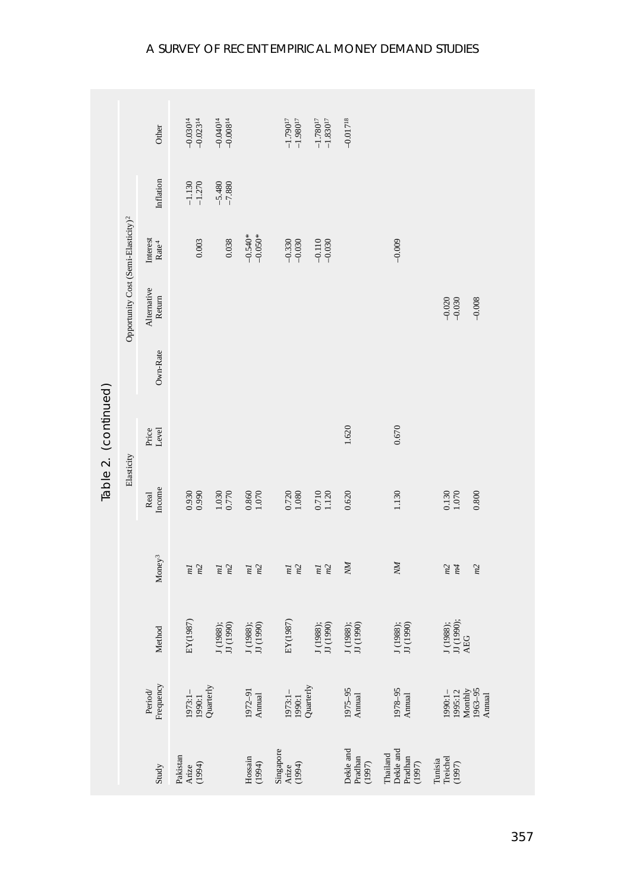|                      |                                                 | Other                                                                           | $-0.030^{14}$<br>$-0.023^{14}$          | $-0.040^{14}$<br>$-0.008^{14}$ |                                                           | $-1.790^{17}$<br>-1.980 $^{17}$         | $-1.780^{17}$<br>-1.830 <sup>17</sup> | $-0.01718$                 |                                                                                                |                                                               |
|----------------------|-------------------------------------------------|---------------------------------------------------------------------------------|-----------------------------------------|--------------------------------|-----------------------------------------------------------|-----------------------------------------|---------------------------------------|----------------------------|------------------------------------------------------------------------------------------------|---------------------------------------------------------------|
|                      |                                                 | Inflation                                                                       | $-1.130$<br>$-1.270$                    | $-5.480$<br>$-7.880$           |                                                           |                                         |                                       |                            |                                                                                                |                                                               |
|                      |                                                 | Interest<br>$\mathrm{Rate}^4$                                                   | 0.003                                   | 0.038                          | $-0.540*$<br>$-0.050*$                                    | $-0.330$<br>$-0.030$                    | $-0.110$<br>$-0.030$                  |                            | $-0.009$                                                                                       |                                                               |
|                      | Opportunity Cost (Semi-Elasticity) <sup>2</sup> | Alternative<br>Return                                                           |                                         |                                |                                                           |                                         |                                       |                            |                                                                                                | $-0.020$<br>$-0.030$<br>$-0.008$                              |
|                      |                                                 | Own-Rate                                                                        |                                         |                                |                                                           |                                         |                                       |                            |                                                                                                |                                                               |
| Table 2. (continued) |                                                 | Price<br>Level                                                                  |                                         |                                |                                                           |                                         |                                       | 1.620                      | 0.670                                                                                          |                                                               |
|                      | Elasticity                                      | Income<br>Real                                                                  | 0.930                                   | 1.030<br>0.770                 | $0.860$<br>1.070                                          | 0.720<br>1.080                          | 0.710<br>1.120                        | 0.620                      | 1.130                                                                                          | 0.800<br>0.130<br>1.070                                       |
|                      |                                                 | Money <sup>3</sup>                                                              | m2<br>m                                 | m2<br>m                        | $\frac{ml}{m^2}$                                          | m2<br>m                                 | m2<br>m                               | NМ                         | NМ                                                                                             | m2<br>m4<br>m2                                                |
|                      |                                                 | Method                                                                          | EY(1987)                                | J (1988);<br>JJ (1990)         | J (1988);<br>JJ (1990)                                    | EY(1987)                                | J (1988);<br>JJ (1990)                | J (1988);<br>JJ (1990)     | J (1988);<br>JJ (1990)                                                                         | J (1988);<br>JJ (1990);<br>AEG                                |
|                      |                                                 | Period/<br>Frequency                                                            | 1973:1- $1990:1$<br>1990:1<br>Quarterly |                                | $\begin{array}{c} 1972 - 91 \\ \text{Annual} \end{array}$ | 1973:1- $1990:1$<br>1990:1<br>Quarterly |                                       | $1975-95$ Annual           | $\begin{array}{c} 1978-95 \\ \mathrm{Annual} \end{array}$                                      | 1990:1-<br>1995:12<br>Monthly<br>Monthly<br>1963–95<br>Annual |
|                      |                                                 | $\operatorname*{S}\!\operatorname*{t}\!\operatorname*{u}\!\operatorname*{d}\!y$ | Pakistan<br>Arize<br>(1994)             |                                | $\begin{array}{c} \text{Hossain} \\ (1994) \end{array}$   | Singapore<br>Arize<br>(1994)            |                                       | Dekle and Pradhan $(1997)$ | $\begin{array}{c} \text{Thailand} \\ \text{Dekle and} \\ \text{Pradhan} \\ (1997) \end{array}$ | Tunisia<br>Treichel<br>(1997)                                 |

#### A SURVEY OF RECENT EMPIRICAL MONEY DEMAND STUDIES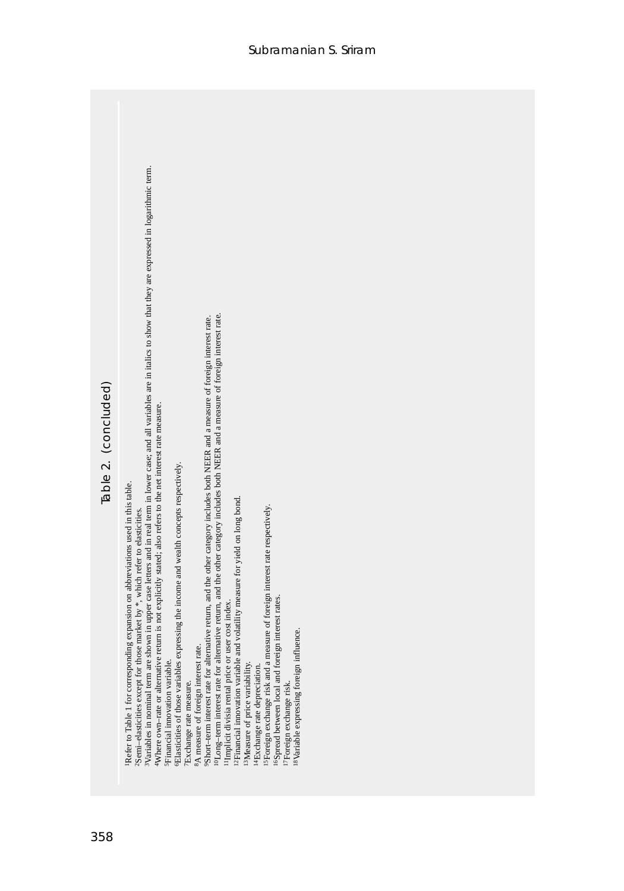| Table 2. (concluded) | shown in upper case letters and in real term in lower case; and all variables are in italics to show that they are expressed in logarithmic term.<br><sup>10</sup> Long-term interest rate for alternative return, and the other category includes both NEER and a measure of foreign interest rate.<br>9Short-term interest rate for alternative return, and the other category includes both NEER and a measure of foreign interest rate.<br>Where own-rate or alternative return is not explicitly stated; also refers to the net interest rate measure.<br><sup>6</sup> Elasticities of those variables expressing the income and wealth concepts respectively.<br>Refer to Table 1 for corresponding expansion on abbreviations used in this table.<br><sup>12</sup> Financial innovation variable and volatility measure for yield on long bond.<br>measure of foreign interest rate respectively.<br>2Semi-elasticities except for those market by *, which refer to elasticities.<br><sup>16</sup> Spread between local and foreign interest rates.<br><sup>11</sup> Implicit divisia rental price or user cost index.<br><sup>18</sup> Variable expressing foreign influence.<br>8A measure of foreign interest rate.<br><sup>3</sup> Variables in nominal term are<br><sup>15</sup> Foreign exchange risk and a r<br>5Financial innovation variable.<br><sup>13</sup> Measure of price variability.<br><sup>14</sup> Exchange rate depreciation.<br><sup>7</sup> Exchange rate measure.<br><sup>17</sup> Foreign exchange risk |
|----------------------|------------------------------------------------------------------------------------------------------------------------------------------------------------------------------------------------------------------------------------------------------------------------------------------------------------------------------------------------------------------------------------------------------------------------------------------------------------------------------------------------------------------------------------------------------------------------------------------------------------------------------------------------------------------------------------------------------------------------------------------------------------------------------------------------------------------------------------------------------------------------------------------------------------------------------------------------------------------------------------------------------------------------------------------------------------------------------------------------------------------------------------------------------------------------------------------------------------------------------------------------------------------------------------------------------------------------------------------------------------------------------------------------------------------------------------------------------------------------------------------------------------------------------------------|
| 358                  |                                                                                                                                                                                                                                                                                                                                                                                                                                                                                                                                                                                                                                                                                                                                                                                                                                                                                                                                                                                                                                                                                                                                                                                                                                                                                                                                                                                                                                                                                                                                          |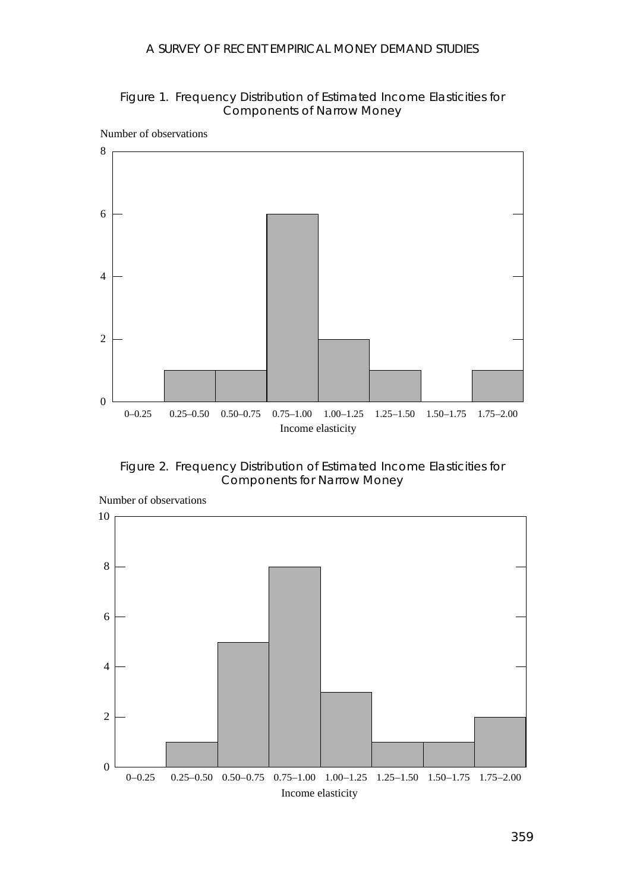#### Figure 1. Frequency Distribution of Estimated Income Elasticities for Components of Narrow Money



Figure 2. Frequency Distribution of Estimated Income Elasticities for Components for Narrow Money



Number of observations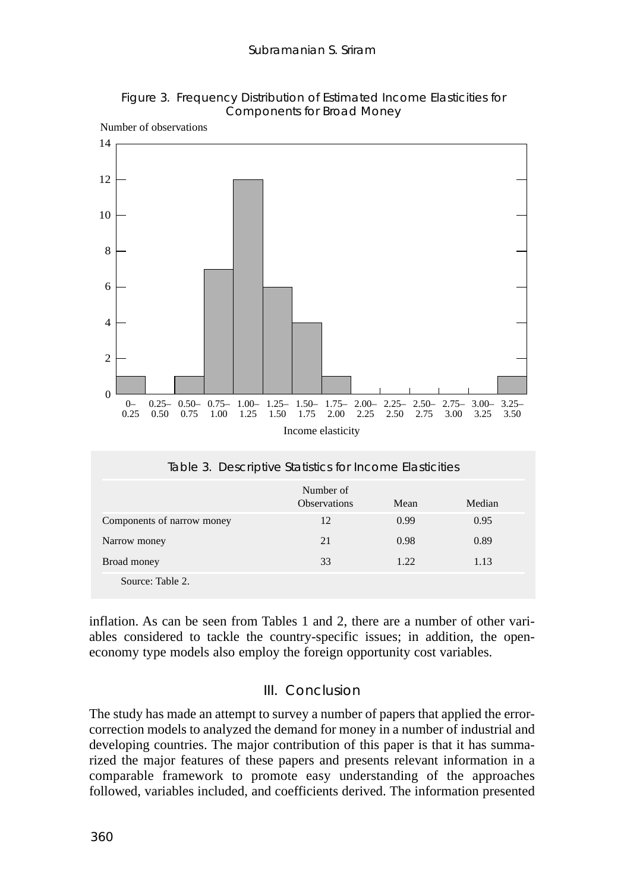



Number of observations

inflation. As can be seen from Tables 1 and 2, there are a number of other vari-Source: Table 2.

Narrow money 21 0.98 0.89 Broad money 33 1.22 1.13

ables considered to tackle the country-specific issues; in addition, the openeconomy type models also employ the foreign opportunity cost variables.

# III. Conclusion

The study has made an attempt to survey a number of papers that applied the errorcorrection models to analyzed the demand for money in a number of industrial and developing countries. The major contribution of this paper is that it has summarized the major features of these papers and presents relevant information in a comparable framework to promote easy understanding of the approaches followed, variables included, and coefficients derived. The information presented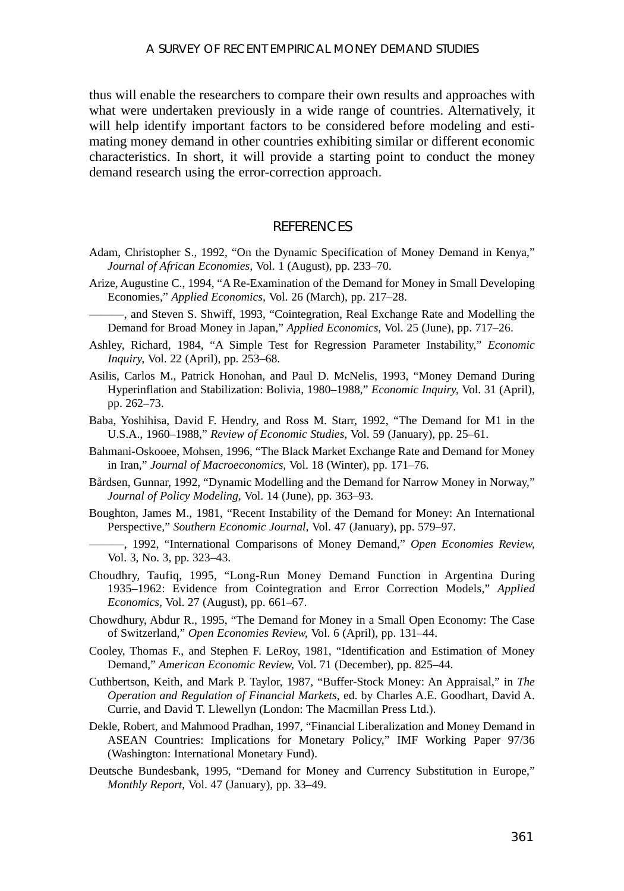thus will enable the researchers to compare their own results and approaches with what were undertaken previously in a wide range of countries. Alternatively, it will help identify important factors to be considered before modeling and estimating money demand in other countries exhibiting similar or different economic characteristics. In short, it will provide a starting point to conduct the money demand research using the error-correction approach.

### **REFERENCES**

- Adam, Christopher S., 1992, "On the Dynamic Specification of Money Demand in Kenya," *Journal of African Economies,* Vol. 1 (August), pp. 233–70.
- Arize, Augustine C., 1994, "A Re-Examination of the Demand for Money in Small Developing Economies," *Applied Economics,* Vol. 26 (March), pp. 217–28.
- -, and Steven S. Shwiff, 1993, "Cointegration, Real Exchange Rate and Modelling the Demand for Broad Money in Japan," *Applied Economics,* Vol. 25 (June), pp. 717–26.
- Ashley, Richard, 1984, "A Simple Test for Regression Parameter Instability," *Economic Inquiry,* Vol. 22 (April), pp. 253–68.
- Asilis, Carlos M., Patrick Honohan, and Paul D. McNelis, 1993, "Money Demand During Hyperinflation and Stabilization: Bolivia, 1980–1988," *Economic Inquiry,* Vol. 31 (April), pp. 262–73.
- Baba, Yoshihisa, David F. Hendry, and Ross M. Starr, 1992, "The Demand for M1 in the U.S.A., 1960–1988," *Review of Economic Studies,* Vol. 59 (January), pp. 25–61.
- Bahmani-Oskooee, Mohsen, 1996, "The Black Market Exchange Rate and Demand for Money in Iran," *Journal of Macroeconomics,* Vol. 18 (Winter), pp. 171–76.
- Bårdsen, Gunnar, 1992, "Dynamic Modelling and the Demand for Narrow Money in Norway," *Journal of Policy Modeling,* Vol. 14 (June), pp. 363–93.
- Boughton, James M., 1981, "Recent Instability of the Demand for Money: An International Perspective," *Southern Economic Journal,* Vol. 47 (January), pp. 579–97.
- ———, 1992, "International Comparisons of Money Demand," *Open Economies Review,* Vol. 3, No. 3, pp. 323–43.
- Choudhry, Taufiq, 1995, "Long-Run Money Demand Function in Argentina During 1935–1962: Evidence from Cointegration and Error Correction Models," *Applied Economics,* Vol. 27 (August), pp. 661–67.
- Chowdhury, Abdur R., 1995, "The Demand for Money in a Small Open Economy: The Case of Switzerland," *Open Economies Review,* Vol. 6 (April), pp. 131–44.
- Cooley, Thomas F., and Stephen F. LeRoy, 1981, "Identification and Estimation of Money Demand," *American Economic Review,* Vol. 71 (December), pp. 825–44.
- Cuthbertson, Keith, and Mark P. Taylor, 1987, "Buffer-Stock Money: An Appraisal," in *The Operation and Regulation of Financial Markets,* ed. by Charles A.E. Goodhart, David A. Currie, and David T. Llewellyn (London: The Macmillan Press Ltd.).
- Dekle, Robert, and Mahmood Pradhan, 1997, "Financial Liberalization and Money Demand in ASEAN Countries: Implications for Monetary Policy," IMF Working Paper 97/36 (Washington: International Monetary Fund).
- Deutsche Bundesbank, 1995, "Demand for Money and Currency Substitution in Europe," *Monthly Report,* Vol. 47 (January), pp. 33–49.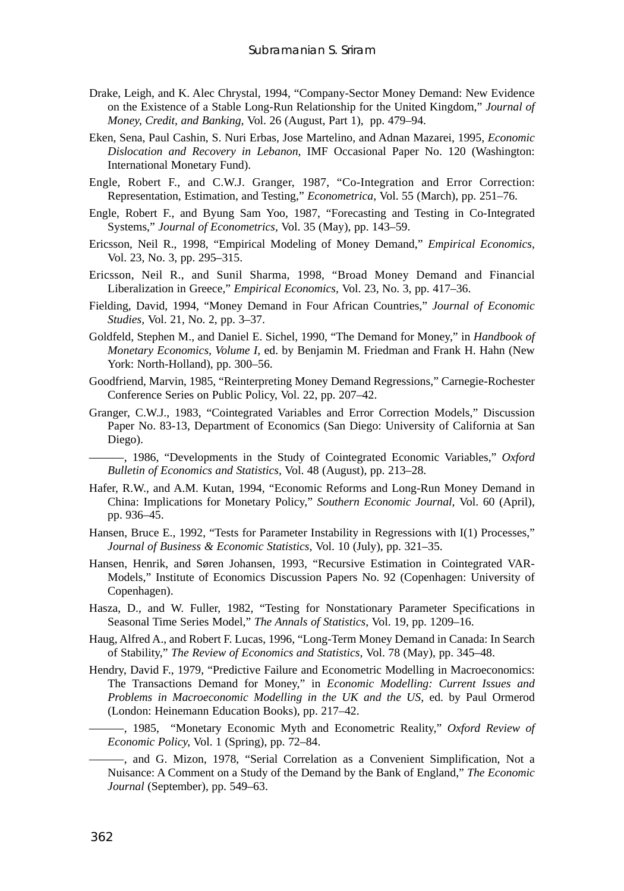- Drake, Leigh, and K. Alec Chrystal, 1994, "Company-Sector Money Demand: New Evidence on the Existence of a Stable Long-Run Relationship for the United Kingdom," *Journal of Money, Credit, and Banking,* Vol. 26 (August, Part 1), pp. 479–94.
- Eken, Sena, Paul Cashin, S. Nuri Erbas, Jose Martelino, and Adnan Mazarei, 1995, *Economic Dislocation and Recovery in Lebanon,* IMF Occasional Paper No. 120 (Washington: International Monetary Fund).
- Engle, Robert F., and C.W.J. Granger, 1987, "Co-Integration and Error Correction: Representation, Estimation, and Testing," *Econometrica,* Vol. 55 (March), pp. 251–76.
- Engle, Robert F., and Byung Sam Yoo, 1987, "Forecasting and Testing in Co-Integrated Systems," *Journal of Econometrics,* Vol. 35 (May), pp. 143–59.
- Ericsson, Neil R., 1998, "Empirical Modeling of Money Demand," *Empirical Economics,* Vol. 23, No. 3, pp. 295–315.
- Ericsson, Neil R., and Sunil Sharma, 1998, "Broad Money Demand and Financial Liberalization in Greece," *Empirical Economics,* Vol. 23, No. 3, pp. 417–36.
- Fielding, David, 1994, "Money Demand in Four African Countries," *Journal of Economic Studies,* Vol. 21, No. 2, pp. 3–37.
- Goldfeld, Stephen M., and Daniel E. Sichel, 1990, "The Demand for Money," in *Handbook of Monetary Economics, Volume I,* ed. by Benjamin M. Friedman and Frank H. Hahn (New York: North-Holland), pp. 300–56.
- Goodfriend, Marvin, 1985, "Reinterpreting Money Demand Regressions," Carnegie-Rochester Conference Series on Public Policy, Vol. 22, pp. 207–42.
- Granger, C.W.J., 1983, "Cointegrated Variables and Error Correction Models," Discussion Paper No. 83-13, Department of Economics (San Diego: University of California at San Diego).

———, 1986, "Developments in the Study of Cointegrated Economic Variables," *Oxford Bulletin of Economics and Statistics,* Vol. 48 (August), pp. 213–28.

- Hafer, R.W., and A.M. Kutan, 1994, "Economic Reforms and Long-Run Money Demand in China: Implications for Monetary Policy," *Southern Economic Journal,* Vol. 60 (April), pp. 936–45.
- Hansen, Bruce E., 1992, "Tests for Parameter Instability in Regressions with I(1) Processes," *Journal of Business & Economic Statistics,* Vol. 10 (July), pp. 321–35.
- Hansen, Henrik, and Søren Johansen, 1993, "Recursive Estimation in Cointegrated VAR-Models," Institute of Economics Discussion Papers No. 92 (Copenhagen: University of Copenhagen).
- Hasza, D., and W. Fuller, 1982, "Testing for Nonstationary Parameter Specifications in Seasonal Time Series Model," *The Annals of Statistics,* Vol. 19, pp. 1209–16.
- Haug, Alfred A., and Robert F. Lucas, 1996, "Long-Term Money Demand in Canada: In Search of Stability," *The Review of Economics and Statistics,* Vol. 78 (May), pp. 345–48.
- Hendry, David F., 1979, "Predictive Failure and Econometric Modelling in Macroeconomics: The Transactions Demand for Money," in *Economic Modelling: Current Issues and Problems in Macroeconomic Modelling in the UK and the US,* ed. by Paul Ormerod (London: Heinemann Education Books), pp. 217–42.
- ———, 1985, "Monetary Economic Myth and Econometric Reality," *Oxford Review of Economic Policy,* Vol. 1 (Spring), pp. 72–84.
	- ———, and G. Mizon, 1978, "Serial Correlation as a Convenient Simplification, Not a Nuisance: A Comment on a Study of the Demand by the Bank of England," *The Economic Journal* (September), pp. 549–63.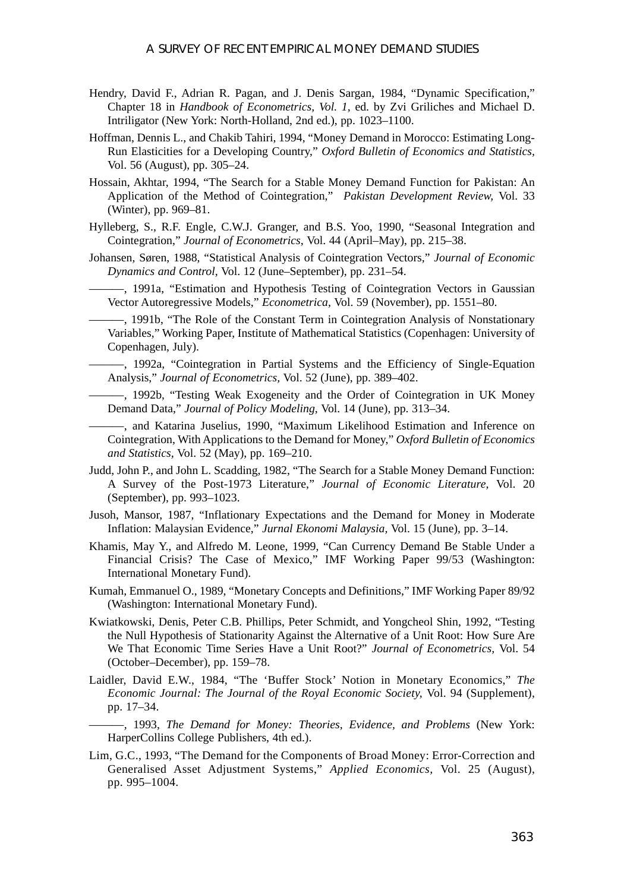- Hendry, David F., Adrian R. Pagan, and J. Denis Sargan, 1984, "Dynamic Specification," Chapter 18 in *Handbook of Econometrics, Vol. 1,* ed. by Zvi Griliches and Michael D. Intriligator (New York: North-Holland, 2nd ed.), pp. 1023–1100.
- Hoffman, Dennis L., and Chakib Tahiri, 1994, "Money Demand in Morocco: Estimating Long-Run Elasticities for a Developing Country," *Oxford Bulletin of Economics and Statistics,* Vol. 56 (August), pp. 305–24.
- Hossain, Akhtar, 1994, "The Search for a Stable Money Demand Function for Pakistan: An Application of the Method of Cointegration," *Pakistan Development Review,* Vol. 33 (Winter), pp. 969–81.
- Hylleberg, S., R.F. Engle, C.W.J. Granger, and B.S. Yoo, 1990, "Seasonal Integration and Cointegration," *Journal of Econometrics,* Vol. 44 (April–May), pp. 215–38.
- Johansen, Søren, 1988, "Statistical Analysis of Cointegration Vectors," *Journal of Economic Dynamics and Control,* Vol. 12 (June–September), pp. 231–54.
	- ———, 1991a, "Estimation and Hypothesis Testing of Cointegration Vectors in Gaussian Vector Autoregressive Models," *Econometrica,* Vol. 59 (November), pp. 1551–80.
- ———, 1991b, "The Role of the Constant Term in Cointegration Analysis of Nonstationary Variables," Working Paper, Institute of Mathematical Statistics (Copenhagen: University of Copenhagen, July).
- ———, 1992a, "Cointegration in Partial Systems and the Efficiency of Single-Equation Analysis," *Journal of Econometrics,* Vol. 52 (June), pp. 389–402.
- ———, 1992b, "Testing Weak Exogeneity and the Order of Cointegration in UK Money Demand Data," *Journal of Policy Modeling,* Vol. 14 (June), pp. 313–34.
- ———, and Katarina Juselius, 1990, "Maximum Likelihood Estimation and Inference on Cointegration, With Applications to the Demand for Money," *Oxford Bulletin of Economics and Statistics,* Vol. 52 (May), pp. 169–210.
- Judd, John P., and John L. Scadding, 1982, "The Search for a Stable Money Demand Function: A Survey of the Post-1973 Literature," *Journal of Economic Literature,* Vol. 20 (September), pp. 993–1023.
- Jusoh, Mansor, 1987, "Inflationary Expectations and the Demand for Money in Moderate Inflation: Malaysian Evidence," *Jurnal Ekonomi Malaysia,* Vol. 15 (June), pp. 3–14.
- Khamis, May Y., and Alfredo M. Leone, 1999, "Can Currency Demand Be Stable Under a Financial Crisis? The Case of Mexico," IMF Working Paper 99/53 (Washington: International Monetary Fund).
- Kumah, Emmanuel O., 1989, "Monetary Concepts and Definitions," IMF Working Paper 89/92 (Washington: International Monetary Fund).
- Kwiatkowski, Denis, Peter C.B. Phillips, Peter Schmidt, and Yongcheol Shin, 1992, "Testing the Null Hypothesis of Stationarity Against the Alternative of a Unit Root: How Sure Are We That Economic Time Series Have a Unit Root?" *Journal of Econometrics,* Vol. 54 (October–December), pp. 159–78.
- Laidler, David E.W., 1984, "The 'Buffer Stock' Notion in Monetary Economics," *The Economic Journal: The Journal of the Royal Economic Society,* Vol. 94 (Supplement), pp. 17–34.
	- ———, 1993, *The Demand for Money: Theories, Evidence, and Problems* (New York: HarperCollins College Publishers, 4th ed.).
- Lim, G.C., 1993, "The Demand for the Components of Broad Money: Error-Correction and Generalised Asset Adjustment Systems," *Applied Economics,* Vol. 25 (August), pp. 995–1004.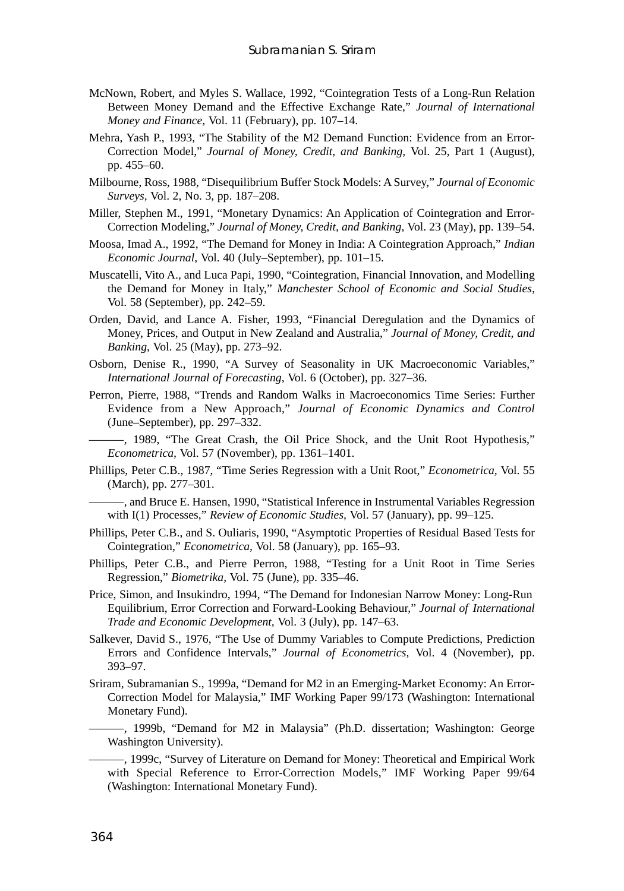- McNown, Robert, and Myles S. Wallace, 1992, "Cointegration Tests of a Long-Run Relation Between Money Demand and the Effective Exchange Rate," *Journal of International Money and Finance,* Vol. 11 (February), pp. 107–14.
- Mehra, Yash P., 1993, "The Stability of the M2 Demand Function: Evidence from an Error-Correction Model," *Journal of Money, Credit, and Banking,* Vol. 25, Part 1 (August), pp. 455–60.
- Milbourne, Ross, 1988, "Disequilibrium Buffer Stock Models: A Survey," *Journal of Economic Surveys,* Vol. 2, No. 3, pp. 187–208.
- Miller, Stephen M., 1991, "Monetary Dynamics: An Application of Cointegration and Error-Correction Modeling," *Journal of Money, Credit, and Banking,* Vol. 23 (May), pp. 139–54.
- Moosa, Imad A., 1992, "The Demand for Money in India: A Cointegration Approach," *Indian Economic Journal,* Vol. 40 (July–September), pp. 101–15.
- Muscatelli, Vito A., and Luca Papi, 1990, "Cointegration, Financial Innovation, and Modelling the Demand for Money in Italy," *Manchester School of Economic and Social Studies,* Vol. 58 (September), pp. 242–59.
- Orden, David, and Lance A. Fisher, 1993, "Financial Deregulation and the Dynamics of Money, Prices, and Output in New Zealand and Australia," *Journal of Money, Credit, and Banking,* Vol. 25 (May), pp. 273–92.
- Osborn, Denise R., 1990, "A Survey of Seasonality in UK Macroeconomic Variables," *International Journal of Forecasting,* Vol. 6 (October), pp. 327–36.
- Perron, Pierre, 1988, "Trends and Random Walks in Macroeconomics Time Series: Further Evidence from a New Approach," *Journal of Economic Dynamics and Control* (June–September), pp. 297–332.

———, 1989, "The Great Crash, the Oil Price Shock, and the Unit Root Hypothesis," *Econometrica,* Vol. 57 (November), pp. 1361–1401.

Phillips, Peter C.B., 1987, "Time Series Regression with a Unit Root," *Econometrica,* Vol. 55 (March), pp. 277–301.

———, and Bruce E. Hansen, 1990, "Statistical Inference in Instrumental Variables Regression with I(1) Processes," *Review of Economic Studies,* Vol. 57 (January), pp. 99–125.

- Phillips, Peter C.B., and S. Ouliaris, 1990, "Asymptotic Properties of Residual Based Tests for Cointegration," *Econometrica,* Vol. 58 (January), pp. 165–93.
- Phillips, Peter C.B., and Pierre Perron, 1988, "Testing for a Unit Root in Time Series Regression," *Biometrika,* Vol. 75 (June), pp. 335–46.
- Price, Simon, and Insukindro, 1994, "The Demand for Indonesian Narrow Money: Long-Run Equilibrium, Error Correction and Forward-Looking Behaviour," *Journal of International Trade and Economic Development,* Vol. 3 (July), pp. 147–63.
- Salkever, David S., 1976, "The Use of Dummy Variables to Compute Predictions, Prediction Errors and Confidence Intervals," *Journal of Econometrics,* Vol. 4 (November), pp. 393–97.
- Sriram, Subramanian S., 1999a, "Demand for M2 in an Emerging-Market Economy: An Error-Correction Model for Malaysia," IMF Working Paper 99/173 (Washington: International Monetary Fund).

———, 1999b, "Demand for M2 in Malaysia" (Ph.D. dissertation; Washington: George Washington University).

-, 1999c, "Survey of Literature on Demand for Money: Theoretical and Empirical Work with Special Reference to Error-Correction Models," IMF Working Paper 99/64 (Washington: International Monetary Fund).